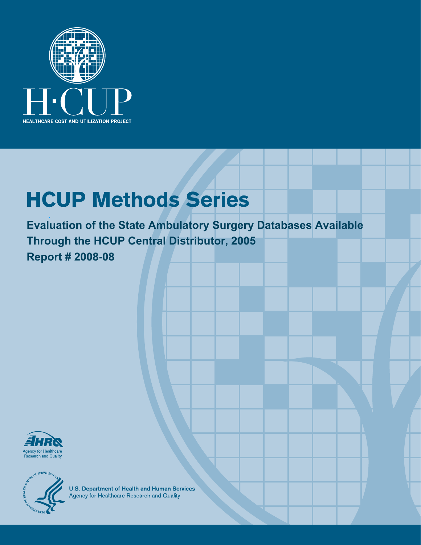

# **HCUP Methods Series**

**Evaluation of the State Ambulatory Surgery Databases Available Through the HCUP Central Distributor, 2005 Report # 2008-08** 





**U.S. Department of Health and Human Services**<br>Agency for Healthcare Research and Quality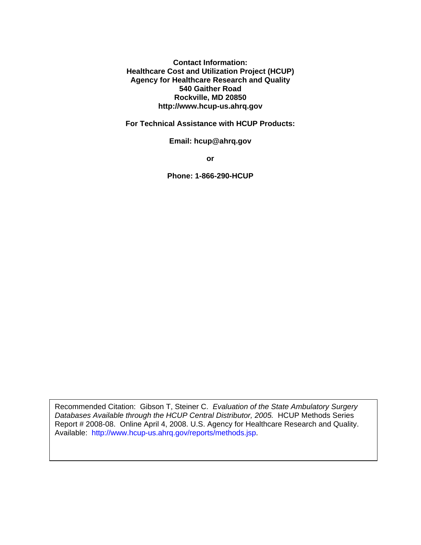**Contact Information: Healthcare Cost and Utilization Project (HCUP) Agency for Healthcare Research and Quality 540 Gaither Road Rockville, MD 20850 http://www.hcup-us.ahrq.gov** 

**For Technical Assistance with HCUP Products:** 

**Email: hcup@ahrq.gov** 

**or** 

**Phone: 1-866-290-HCUP** 

Recommended Citation: Gibson T, Steiner C. *Evaluation of the State Ambulatory Surgery Databases Available through the HCUP Central Distributor, 2005.* HCUP Methods Series Report # 2008-08. Online April 4, 2008. U.S. Agency for Healthcare Research and Quality. Available: http://www.hcup-us.ahrq.gov/reports/methods.jsp.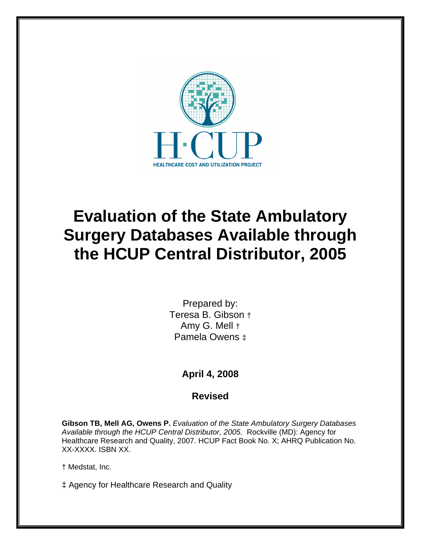

## **Evaluation of the State Ambulatory Surgery Databases Available through the HCUP Central Distributor, 2005**

Prepared by: Teresa B. Gibson † Amy G. Mell † Pamela Owens ‡

#### **April 4, 2008**

#### **Revised**

**Gibson TB, Mell AG, Owens P.** *Evaluation of the State Ambulatory Surgery Databases Available through the HCUP Central Distributor, 2005.* Rockville (MD): Agency for Healthcare Research and Quality, 2007. HCUP Fact Book No. X; AHRQ Publication No. XX-XXXX. ISBN XX.

† Medstat, Inc.

‡ Agency for Healthcare Research and Quality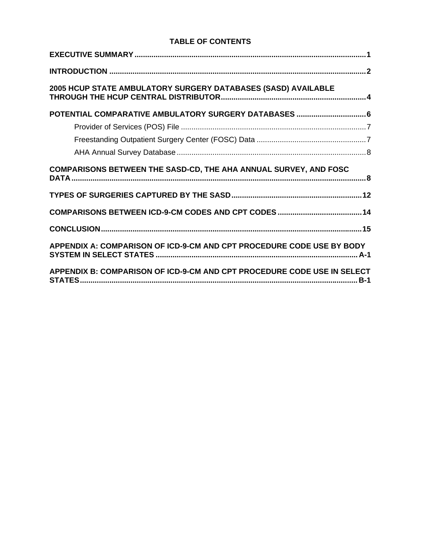#### **TABLE OF CONTENTS**

| 2005 HCUP STATE AMBULATORY SURGERY DATABASES (SASD) AVAILABLE         |
|-----------------------------------------------------------------------|
|                                                                       |
|                                                                       |
|                                                                       |
|                                                                       |
| COMPARISONS BETWEEN THE SASD-CD, THE AHA ANNUAL SURVEY, AND FOSC      |
|                                                                       |
|                                                                       |
|                                                                       |
|                                                                       |
| APPENDIX A: COMPARISON OF ICD-9-CM AND CPT PROCEDURE CODE USE BY BODY |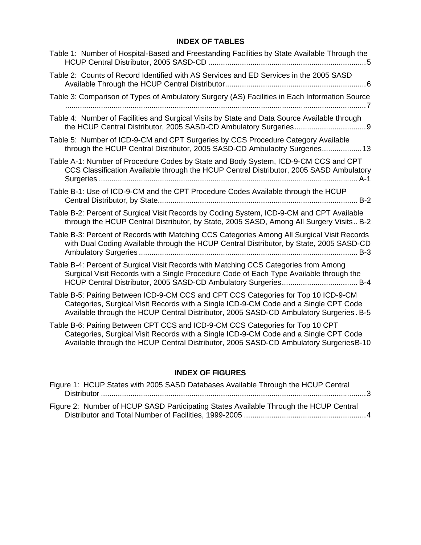#### **INDEX OF TABLES**

| Table 1: Number of Hospital-Based and Freestanding Facilities by State Available Through the                                                                                                                                                                         |
|----------------------------------------------------------------------------------------------------------------------------------------------------------------------------------------------------------------------------------------------------------------------|
| Table 2: Counts of Record Identified with AS Services and ED Services in the 2005 SASD                                                                                                                                                                               |
| Table 3: Comparison of Types of Ambulatory Surgery (AS) Facilities in Each Information Source                                                                                                                                                                        |
| Table 4: Number of Facilities and Surgical Visits by State and Data Source Available through                                                                                                                                                                         |
| Table 5: Number of ICD-9-CM and CPT Surgeries by CCS Procedure Category Available<br>through the HCUP Central Distributor, 2005 SASD-CD Ambulaotry Surgeries 13                                                                                                      |
| Table A-1: Number of Procedure Codes by State and Body System, ICD-9-CM CCS and CPT<br>CCS Classification Available through the HCUP Central Distributor, 2005 SASD Ambulatory                                                                                       |
| Table B-1: Use of ICD-9-CM and the CPT Procedure Codes Available through the HCUP                                                                                                                                                                                    |
| Table B-2: Percent of Surgical Visit Records by Coding System, ICD-9-CM and CPT Available<br>through the HCUP Central Distributor, by State, 2005 SASD, Among All Surgery Visits B-2                                                                                 |
| Table B-3: Percent of Records with Matching CCS Categories Among All Surgical Visit Records<br>with Dual Coding Available through the HCUP Central Distributor, by State, 2005 SASD-CD                                                                               |
| Table B-4: Percent of Surgical Visit Records with Matching CCS Categories from Among<br>Surgical Visit Records with a Single Procedure Code of Each Type Available through the                                                                                       |
| Table B-5: Pairing Between ICD-9-CM CCS and CPT CCS Categories for Top 10 ICD-9-CM<br>Categories, Surgical Visit Records with a Single ICD-9-CM Code and a Single CPT Code<br>Available through the HCUP Central Distributor, 2005 SASD-CD Ambulatory Surgeries. B-5 |
| Table B-6: Pairing Between CPT CCS and ICD-9-CM CCS Categories for Top 10 CPT<br>Categories, Surgical Visit Records with a Single ICD-9-CM Code and a Single CPT Code<br>Available through the HCUP Central Distributor, 2005 SASD-CD Ambulatory Surgeries B-10      |

#### **INDEX OF FIGURES**

| Figure 1: HCUP States with 2005 SASD Databases Available Through the HCUP Central     |  |
|---------------------------------------------------------------------------------------|--|
|                                                                                       |  |
| Figure 2: Number of HCUP SASD Participating States Available Through the HCUP Central |  |
|                                                                                       |  |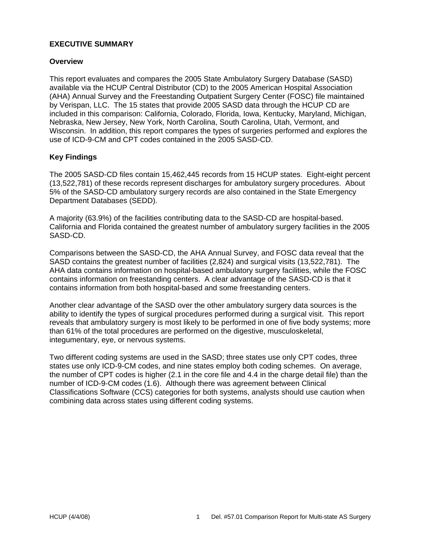#### **EXECUTIVE SUMMARY**

#### **Overview**

This report evaluates and compares the 2005 State Ambulatory Surgery Database (SASD) available via the HCUP Central Distributor (CD) to the 2005 American Hospital Association (AHA) Annual Survey and the Freestanding Outpatient Surgery Center (FOSC) file maintained by Verispan, LLC. The 15 states that provide 2005 SASD data through the HCUP CD are included in this comparison: California, Colorado, Florida, Iowa, Kentucky, Maryland, Michigan, Nebraska, New Jersey, New York, North Carolina, South Carolina, Utah, Vermont, and Wisconsin. In addition, this report compares the types of surgeries performed and explores the use of ICD-9-CM and CPT codes contained in the 2005 SASD-CD.

#### **Key Findings**

The 2005 SASD-CD files contain 15,462,445 records from 15 HCUP states. Eight-eight percent (13,522,781) of these records represent discharges for ambulatory surgery procedures. About 5% of the SASD-CD ambulatory surgery records are also contained in the State Emergency Department Databases (SEDD).

A majority (63.9%) of the facilities contributing data to the SASD-CD are hospital-based. California and Florida contained the greatest number of ambulatory surgery facilities in the 2005 SASD-CD.

Comparisons between the SASD-CD, the AHA Annual Survey, and FOSC data reveal that the SASD contains the greatest number of facilities (2,824) and surgical visits (13,522,781). The AHA data contains information on hospital-based ambulatory surgery facilities, while the FOSC contains information on freestanding centers. A clear advantage of the SASD-CD is that it contains information from both hospital-based and some freestanding centers.

Another clear advantage of the SASD over the other ambulatory surgery data sources is the ability to identify the types of surgical procedures performed during a surgical visit. This report reveals that ambulatory surgery is most likely to be performed in one of five body systems; more than 61% of the total procedures are performed on the digestive, musculoskeletal, integumentary, eye, or nervous systems.

Two different coding systems are used in the SASD; three states use only CPT codes, three states use only ICD-9-CM codes, and nine states employ both coding schemes. On average, the number of CPT codes is higher (2.1 in the core file and 4.4 in the charge detail file) than the number of ICD-9-CM codes (1.6). Although there was agreement between Clinical Classifications Software (CCS) categories for both systems, analysts should use caution when combining data across states using different coding systems.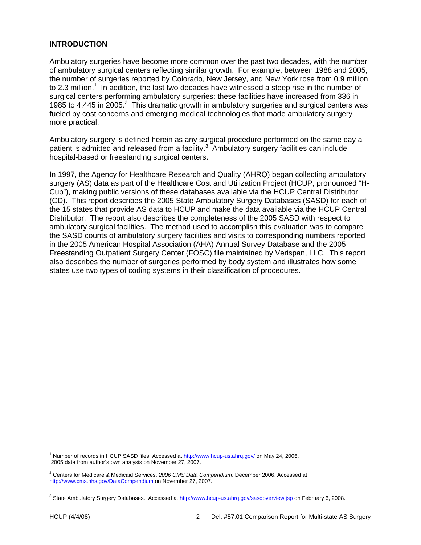#### **INTRODUCTION**

Ambulatory surgeries have become more common over the past two decades, with the number of ambulatory surgical centers reflecting similar growth. For example, between 1988 and 2005, the number of surgeries reported by Colorado, New Jersey, and New York rose from 0.9 million to 2.3 million.<sup>1</sup> In addition, the last two decades have witnessed a steep rise in the number of surgical centers performing ambulatory surgeries: these facilities have increased from 336 in 1985 to 4,445 in 2005. $^2$  This dramatic growth in ambulatory surgeries and surgical centers was fueled by cost concerns and emerging medical technologies that made ambulatory surgery more practical.

Ambulatory surgery is defined herein as any surgical procedure performed on the same day a patient is admitted and released from a facility. $3\,$  Ambulatory surgery facilities can include hospital-based or freestanding surgical centers.

In 1997, the Agency for Healthcare Research and Quality (AHRQ) began collecting ambulatory surgery (AS) data as part of the Healthcare Cost and Utilization Project (HCUP, pronounced "H-Cup"), making public versions of these databases available via the HCUP Central Distributor (CD). This report describes the 2005 State Ambulatory Surgery Databases (SASD) for each of the 15 states that provide AS data to HCUP and make the data available via the HCUP Central Distributor. The report also describes the completeness of the 2005 SASD with respect to ambulatory surgical facilities. The method used to accomplish this evaluation was to compare the SASD counts of ambulatory surgery facilities and visits to corresponding numbers reported in the 2005 American Hospital Association (AHA) Annual Survey Database and the 2005 Freestanding Outpatient Surgery Center (FOSC) file maintained by Verispan, LLC. This report also describes the number of surgeries performed by body system and illustrates how some states use two types of coding systems in their classification of procedures.

 1 Number of records in HCUP SASD files. Accessed at http://www.hcup-us.ahrq.gov/ on May 24, 2006. 2005 data from author's own analysis on November 27, 2007.

<sup>2</sup> Centers for Medicare & Medicaid Services. *2006 CMS Data Compendium*. December 2006. Accessed at http://www.cms.hhs.gov/DataCompendium on November 27, 2007.

<sup>&</sup>lt;sup>3</sup> State Ambulatory Surgery Databases. Accessed at http://www.hcup-us.ahrq.gov/sasdoverview.jsp on February 6, 2008.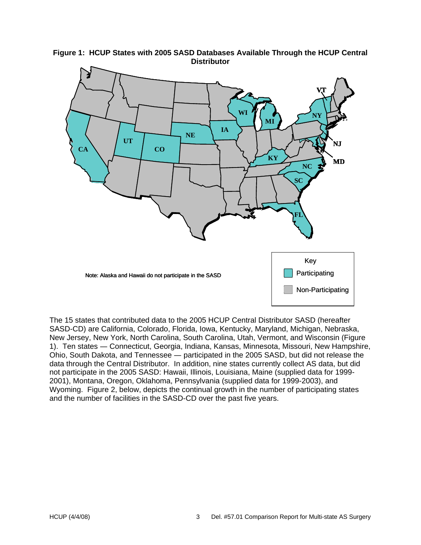

**Figure 1: HCUP States with 2005 SASD Databases Available Through the HCUP Central Distributor** 

The 15 states that contributed data to the 2005 HCUP Central Distributor SASD (hereafter SASD-CD) are California, Colorado, Florida, Iowa, Kentucky, Maryland, Michigan, Nebraska, New Jersey, New York, North Carolina, South Carolina, Utah, Vermont, and Wisconsin (Figure 1). Ten states ― Connecticut, Georgia, Indiana, Kansas, Minnesota, Missouri, New Hampshire, Ohio, South Dakota, and Tennessee ― participated in the 2005 SASD, but did not release the data through the Central Distributor. In addition, nine states currently collect AS data, but did not participate in the 2005 SASD: Hawaii, Illinois, Louisiana, Maine (supplied data for 1999- 2001), Montana, Oregon, Oklahoma, Pennsylvania (supplied data for 1999-2003), and Wyoming. Figure 2, below, depicts the continual growth in the number of participating states and the number of facilities in the SASD-CD over the past five years.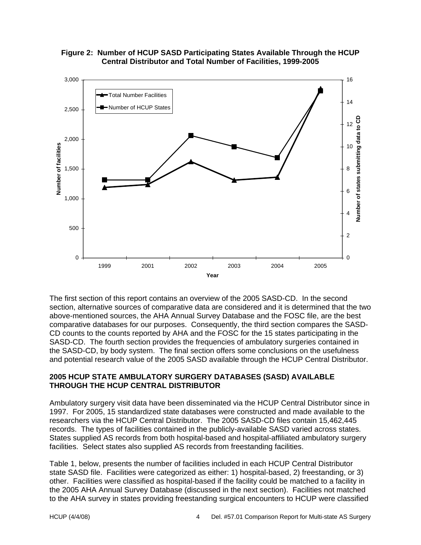



The first section of this report contains an overview of the 2005 SASD-CD. In the second section, alternative sources of comparative data are considered and it is determined that the two above-mentioned sources, the AHA Annual Survey Database and the FOSC file, are the best comparative databases for our purposes. Consequently, the third section compares the SASD-CD counts to the counts reported by AHA and the FOSC for the 15 states participating in the SASD-CD. The fourth section provides the frequencies of ambulatory surgeries contained in the SASD-CD, by body system. The final section offers some conclusions on the usefulness and potential research value of the 2005 SASD available through the HCUP Central Distributor.

#### **2005 HCUP STATE AMBULATORY SURGERY DATABASES (SASD) AVAILABLE THROUGH THE HCUP CENTRAL DISTRIBUTOR**

Ambulatory surgery visit data have been disseminated via the HCUP Central Distributor since in 1997. For 2005, 15 standardized state databases were constructed and made available to the researchers via the HCUP Central Distributor. The 2005 SASD-CD files contain 15,462,445 records. The types of facilities contained in the publicly-available SASD varied across states. States supplied AS records from both hospital-based and hospital-affiliated ambulatory surgery facilities. Select states also supplied AS records from freestanding facilities.

Table 1, below, presents the number of facilities included in each HCUP Central Distributor state SASD file. Facilities were categorized as either: 1) hospital-based, 2) freestanding, or 3) other. Facilities were classified as hospital-based if the facility could be matched to a facility in the 2005 AHA Annual Survey Database (discussed in the next section). Facilities not matched to the AHA survey in states providing freestanding surgical encounters to HCUP were classified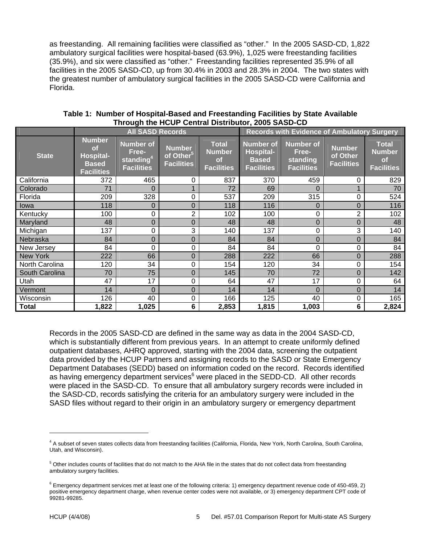as freestanding. All remaining facilities were classified as "other." In the 2005 SASD-CD, 1,822 ambulatory surgical facilities were hospital-based (63.9%), 1,025 were freestanding facilities (35.9%), and six were classified as "other." Freestanding facilities represented 35.9% of all facilities in the 2005 SASD-CD, up from 30.4% in 2003 and 28.3% in 2004. The two states with the greatest number of ambulatory surgical facilities in the 2005 SASD-CD were California and Florida.

|                 | <b>All SASD Records</b>                                                      |                                                                         |                                                             |                                                                 | <b>Records with Evidence of Ambulatory Surgery</b>                 |                                                            |                                         |                                                          |
|-----------------|------------------------------------------------------------------------------|-------------------------------------------------------------------------|-------------------------------------------------------------|-----------------------------------------------------------------|--------------------------------------------------------------------|------------------------------------------------------------|-----------------------------------------|----------------------------------------------------------|
| <b>State</b>    | <b>Number</b><br><b>of</b><br>Hospital-<br><b>Based</b><br><b>Facilities</b> | <b>Number of</b><br>Free-<br>standing <sup>4</sup><br><b>Facilities</b> | <b>Number</b><br>of Other <sup>5</sup><br><b>Facilities</b> | <b>Total</b><br><b>Number</b><br><b>of</b><br><b>Facilities</b> | <b>Number of</b><br>Hospital-<br><b>Based</b><br><b>Facilities</b> | <b>Number of</b><br>Free-<br>standing<br><b>Facilities</b> | Number<br>of Other<br><b>Facilities</b> | <b>Total</b><br><b>Number</b><br>of<br><b>Facilities</b> |
| California      | 372                                                                          | 465                                                                     | 0                                                           | 837                                                             | 370                                                                | 459                                                        | 0                                       | 829                                                      |
| Colorado        | 71                                                                           | $\overline{0}$                                                          | $\mathbf 1$                                                 | 72                                                              | 69                                                                 | $\Omega$                                                   |                                         | 70                                                       |
| Florida         | 209                                                                          | 328                                                                     | 0                                                           | 537                                                             | 209                                                                | 315                                                        | $\mathbf 0$                             | 524                                                      |
| lowa            | 118                                                                          | 0                                                                       | $\mathbf 0$                                                 | 118                                                             | 116                                                                | 0                                                          | $\mathbf 0$                             | 116                                                      |
| Kentucky        | 100                                                                          | 0                                                                       | $\overline{2}$                                              | 102                                                             | 100                                                                | 0                                                          | $\overline{2}$                          | 102                                                      |
| Maryland        | 48                                                                           | $\overline{0}$                                                          | $\mathbf 0$                                                 | 48                                                              | 48                                                                 | $\mathbf 0$                                                | $\overline{0}$                          | 48                                                       |
| Michigan        | 137                                                                          | 0                                                                       | 3                                                           | 140                                                             | 137                                                                | 0                                                          | 3                                       | 140                                                      |
| Nebraska        | 84                                                                           | $\overline{0}$                                                          | $\mathbf 0$                                                 | 84                                                              | 84                                                                 | $\mathbf 0$                                                | $\mathbf 0$                             | 84                                                       |
| New Jersey      | 84                                                                           | $\Omega$                                                                | 0                                                           | 84                                                              | 84                                                                 | 0                                                          | 0                                       | 84                                                       |
| <b>New York</b> | 222                                                                          | 66                                                                      | $\mathbf 0$                                                 | 288                                                             | 222                                                                | 66                                                         | 0                                       | 288                                                      |
| North Carolina  | 120                                                                          | 34                                                                      | 0                                                           | 154                                                             | 120                                                                | 34                                                         | 0                                       | 154                                                      |
| South Carolina  | 70                                                                           | 75                                                                      | $\mathbf 0$                                                 | 145                                                             | 70                                                                 | 72                                                         | 0                                       | 142                                                      |
| Utah            | 47                                                                           | 17                                                                      | 0                                                           | 64                                                              | 47                                                                 | 17                                                         | $\mathbf 0$                             | 64                                                       |
| Vermont         | 14                                                                           | $\overline{0}$                                                          | $\overline{0}$                                              | 14                                                              | 14                                                                 | $\overline{0}$                                             | $\mathbf 0$                             | 14                                                       |
| Wisconsin       | 126                                                                          | 40                                                                      | 0                                                           | 166                                                             | 125                                                                | 40                                                         | 0                                       | 165                                                      |
| <b>Total</b>    | 1,822                                                                        | 1,025                                                                   | 6                                                           | 2,853                                                           | 1,815                                                              | 1,003                                                      | 6                                       | 2,824                                                    |

#### **Table 1: Number of Hospital-Based and Freestanding Facilities by State Available Through the HCUP Central Distributor, 2005 SASD-CD**

Records in the 2005 SASD-CD are defined in the same way as data in the 2004 SASD-CD, which is substantially different from previous years. In an attempt to create uniformly defined outpatient databases, AHRQ approved, starting with the 2004 data, screening the outpatient data provided by the HCUP Partners and assigning records to the SASD or State Emergency Department Databases (SEDD) based on information coded on the record. Records identified as having emergency department services<sup>6</sup> were placed in the SEDD-CD. All other records were placed in the SASD-CD. To ensure that all ambulatory surgery records were included in the SASD-CD, records satisfying the criteria for an ambulatory surgery were included in the SASD files without regard to their origin in an ambulatory surgery or emergency department

<sup>4</sup> A subset of seven states collects data from freestanding facilities (California, Florida, New York, North Carolina, South Carolina, Utah, and Wisconsin).

<sup>&</sup>lt;sup>5</sup> Other includes counts of facilities that do not match to the AHA file in the states that do not collect data from freestanding ambulatory surgery facilities.

<sup>&</sup>lt;sup>6</sup> Emergency department services met at least one of the following criteria: 1) emergency department revenue code of 450-459, 2) positive emergency department charge, when revenue center codes were not available, or 3) emergency department CPT code of 99281-99285.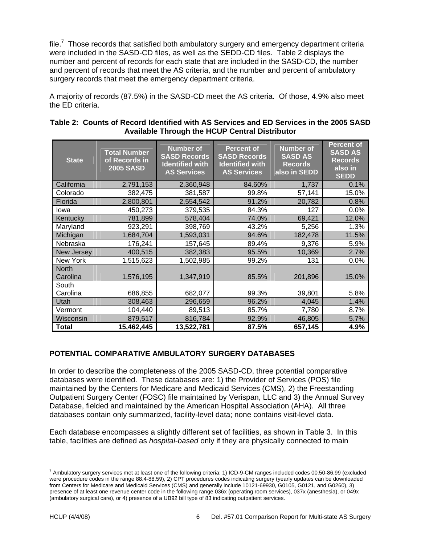file.<sup>7</sup> Those records that satisfied both ambulatory surgery and emergency department criteria were included in the SASD-CD files, as well as the SEDD-CD files. Table 2 displays the number and percent of records for each state that are included in the SASD-CD, the number and percent of records that meet the AS criteria, and the number and percent of ambulatory surgery records that meet the emergency department criteria.

A majority of records (87.5%) in the SASD-CD meet the AS criteria. Of those, 4.9% also meet the ED criteria.

| <b>State</b> | <b>Total Number</b><br>of Records in<br><b>2005 SASD</b> | <b>Number of</b><br><b>SASD Records</b><br><b>Identified with</b><br><b>AS Services</b> | <b>Percent of</b><br><b>SASD Records</b><br><b>Identified with</b><br><b>AS Services</b> | <b>Number of</b><br><b>SASD AS</b><br><b>Records</b><br>also in SEDD | <b>Percent of</b><br><b>SASD AS</b><br><b>Records</b><br>also in<br><b>SEDD</b> |
|--------------|----------------------------------------------------------|-----------------------------------------------------------------------------------------|------------------------------------------------------------------------------------------|----------------------------------------------------------------------|---------------------------------------------------------------------------------|
| California   | 2,791,153                                                | 2,360,948                                                                               | 84.60%                                                                                   | 1,737                                                                | 0.1%                                                                            |
| Colorado     | 382,475                                                  | 381,587                                                                                 | 99.8%                                                                                    | 57,141                                                               | 15.0%                                                                           |
| Florida      | 2,800,801                                                | 2,554,542                                                                               | 91.2%                                                                                    | 20,782                                                               | 0.8%                                                                            |
| lowa         | 450,273                                                  | 379,535                                                                                 | 84.3%                                                                                    | 127                                                                  | 0.0%                                                                            |
| Kentucky     | 781,899                                                  | 578,404                                                                                 | 74.0%                                                                                    | 69,421                                                               | 12.0%                                                                           |
| Maryland     | 923,291                                                  | 398,769                                                                                 | 43.2%                                                                                    | 5,256                                                                | 1.3%                                                                            |
| Michigan     | 1,684,704                                                | 1,593,031                                                                               | 94.6%                                                                                    | 182,478                                                              | 11.5%                                                                           |
| Nebraska     | 176,241                                                  | 157,645                                                                                 | 89.4%                                                                                    | 9,376                                                                | 5.9%                                                                            |
| New Jersey   | 400,515                                                  | 382,383                                                                                 | 95.5%                                                                                    | 10,369                                                               | 2.7%                                                                            |
| New York     | 1,515,623                                                | 1,502,985                                                                               | 99.2%                                                                                    | 131                                                                  | 0.0%                                                                            |
| <b>North</b> |                                                          |                                                                                         |                                                                                          |                                                                      |                                                                                 |
| Carolina     | 1,576,195                                                | 1,347,919                                                                               | 85.5%                                                                                    | 201,896                                                              | 15.0%                                                                           |
| South        |                                                          |                                                                                         |                                                                                          |                                                                      |                                                                                 |
| Carolina     | 686,855                                                  | 682,077                                                                                 | 99.3%                                                                                    | 39,801                                                               | 5.8%                                                                            |
| Utah         | 308,463                                                  | 296,659                                                                                 | 96.2%                                                                                    | 4,045                                                                | 1.4%                                                                            |
| Vermont      | 104,440                                                  | 89,513                                                                                  | 85.7%                                                                                    | 7,780                                                                | 8.7%                                                                            |
| Wisconsin    | 879,517                                                  | 816,784                                                                                 | 92.9%                                                                                    | 46,805                                                               | 5.7%                                                                            |
| Total        | 15,462,445                                               | 13,522,781                                                                              | 87.5%                                                                                    | 657,145                                                              | 4.9%                                                                            |

#### **Table 2: Counts of Record Identified with AS Services and ED Services in the 2005 SASD Available Through the HCUP Central Distributor**

#### **POTENTIAL COMPARATIVE AMBULATORY SURGERY DATABASES**

In order to describe the completeness of the 2005 SASD-CD, three potential comparative databases were identified. These databases are: 1) the Provider of Services (POS) file maintained by the Centers for Medicare and Medicaid Services (CMS), 2) the Freestanding Outpatient Surgery Center (FOSC) file maintained by Verispan, LLC and 3) the Annual Survey Database, fielded and maintained by the American Hospital Association (AHA). All three databases contain only summarized, facility-level data; none contains visit-level data.

Each database encompasses a slightly different set of facilities, as shown in Table 3. In this table, facilities are defined as *hospital-based* only if they are physically connected to main

<sup>&</sup>lt;sup>7</sup> Ambulatory surgery services met at least one of the following criteria: 1) ICD-9-CM ranges included codes 00.50-86.99 (excluded were procedure codes in the range 88.4-88.59), 2) CPT procedures codes indicating surgery (yearly updates can be downloaded from Centers for Medicare and Medicaid Services (CMS) and generally include 10121-69930, G0105, G0121, and G0260), 3) presence of at least one revenue center code in the following range 036x (operating room services), 037x (anesthesia), or 049x (ambulatory surgical care), or 4) presence of a UB92 bill type of 83 indicating outpatient services.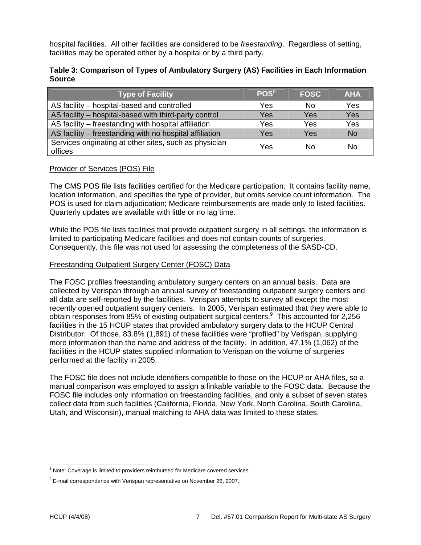hospital facilities. All other facilities are considered to be *freestanding*. Regardless of setting, facilities may be operated either by a hospital or by a third party.

#### **Table 3: Comparison of Types of Ambulatory Surgery (AS) Facilities in Each Information Source**

| <b>Type of Facility</b>                                           | $\mathsf{POS}^{8}$ | <b>FOSC</b> | <b>AHA</b> |
|-------------------------------------------------------------------|--------------------|-------------|------------|
| AS facility – hospital-based and controlled                       | Yes                | No          | Yes        |
| AS facility – hospital-based with third-party control             | Yes                | Yes         | Yes        |
| AS facility – freestanding with hospital affiliation              | Yes                | Yes         | Yes        |
| AS facility – freestanding with no hospital affiliation           | Yes                | Yes         | <b>No</b>  |
| Services originating at other sites, such as physician<br>offices | Yes                | No          | No         |

#### Provider of Services (POS) File

The CMS POS file lists facilities certified for the Medicare participation. It contains facility name, location information, and specifies the type of provider, but omits service count information. The POS is used for claim adjudication; Medicare reimbursements are made only to listed facilities. Quarterly updates are available with little or no lag time.

While the POS file lists facilities that provide outpatient surgery in all settings, the information is limited to participating Medicare facilities and does not contain counts of surgeries. Consequently, this file was not used for assessing the completeness of the SASD-CD.

#### Freestanding Outpatient Surgery Center (FOSC) Data

The FOSC profiles freestanding ambulatory surgery centers on an annual basis. Data are collected by Verispan through an annual survey of freestanding outpatient surgery centers and all data are self-reported by the facilities. Verispan attempts to survey all except the most recently opened outpatient surgery centers. In 2005, Verispan estimated that they were able to obtain responses from 85% of existing outpatient surgical centers.<sup>9</sup> This accounted for 2,256 facilities in the 15 HCUP states that provided ambulatory surgery data to the HCUP Central Distributor. Of those, 83.8% (1,891) of these facilities were "profiled" by Verispan, supplying more information than the name and address of the facility. In addition, 47.1% (1,062) of the facilities in the HCUP states supplied information to Verispan on the volume of surgeries performed at the facility in 2005.

The FOSC file does not include identifiers compatible to those on the HCUP or AHA files, so a manual comparison was employed to assign a linkable variable to the FOSC data. Because the FOSC file includes only information on freestanding facilities, and only a subset of seven states collect data from such facilities (California, Florida, New York, North Carolina, South Carolina, Utah, and Wisconsin), manual matching to AHA data was limited to these states.

<sup>&</sup>lt;sup>8</sup> Note: Coverage is limited to providers reimbursed for Medicare covered services.

 $9$  E-mail correspondence with Verispan representative on November 26, 2007.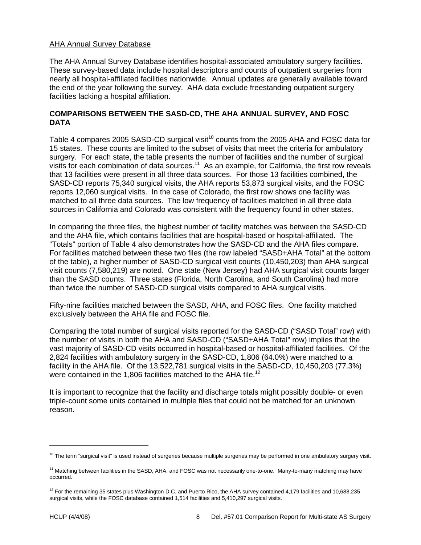#### AHA Annual Survey Database

The AHA Annual Survey Database identifies hospital-associated ambulatory surgery facilities. These survey-based data include hospital descriptors and counts of outpatient surgeries from nearly all hospital-affiliated facilities nationwide. Annual updates are generally available toward the end of the year following the survey. AHA data exclude freestanding outpatient surgery facilities lacking a hospital affiliation.

#### **COMPARISONS BETWEEN THE SASD-CD, THE AHA ANNUAL SURVEY, AND FOSC DATA**

Table 4 compares 2005 SASD-CD surgical visit<sup>10</sup> counts from the 2005 AHA and FOSC data for 15 states. These counts are limited to the subset of visits that meet the criteria for ambulatory surgery. For each state, the table presents the number of facilities and the number of surgical visits for each combination of data sources.<sup>11</sup> As an example, for California, the first row reveals that 13 facilities were present in all three data sources. For those 13 facilities combined, the SASD-CD reports 75,340 surgical visits, the AHA reports 53,873 surgical visits, and the FOSC reports 12,060 surgical visits. In the case of Colorado, the first row shows one facility was matched to all three data sources. The low frequency of facilities matched in all three data sources in California and Colorado was consistent with the frequency found in other states.

In comparing the three files, the highest number of facility matches was between the SASD-CD and the AHA file, which contains facilities that are hospital-based or hospital-affiliated. The "Totals" portion of Table 4 also demonstrates how the SASD-CD and the AHA files compare. For facilities matched between these two files (the row labeled "SASD+AHA Total" at the bottom of the table), a higher number of SASD-CD surgical visit counts (10,450,203) than AHA surgical visit counts (7,580,219) are noted. One state (New Jersey) had AHA surgical visit counts larger than the SASD counts. Three states (Florida, North Carolina, and South Carolina) had more than twice the number of SASD-CD surgical visits compared to AHA surgical visits.

Fifty-nine facilities matched between the SASD, AHA, and FOSC files. One facility matched exclusively between the AHA file and FOSC file.

Comparing the total number of surgical visits reported for the SASD-CD ("SASD Total" row) with the number of visits in both the AHA and SASD-CD ("SASD+AHA Total" row) implies that the vast majority of SASD-CD visits occurred in hospital-based or hospital-affiliated facilities. Of the 2,824 facilities with ambulatory surgery in the SASD-CD, 1,806 (64.0%) were matched to a facility in the AHA file. Of the 13,522,781 surgical visits in the SASD-CD, 10,450,203 (77.3%) were contained in the 1,806 facilities matched to the AHA file.<sup>12</sup>

It is important to recognize that the facility and discharge totals might possibly double- or even triple-count some units contained in multiple files that could not be matched for an unknown reason.

-

<sup>&</sup>lt;sup>10</sup> The term "surgical visit" is used instead of surgeries because multiple surgeries may be performed in one ambulatory surgery visit.

<sup>&</sup>lt;sup>11</sup> Matching between facilities in the SASD, AHA, and FOSC was not necessarily one-to-one. Many-to-many matching may have occurred.

 $12$  For the remaining 35 states plus Washington D.C. and Puerto Rico, the AHA survey contained 4,179 facilities and 10,688,235 surgical visits, while the FOSC database contained 1,514 facilities and 5,410,297 surgical visits.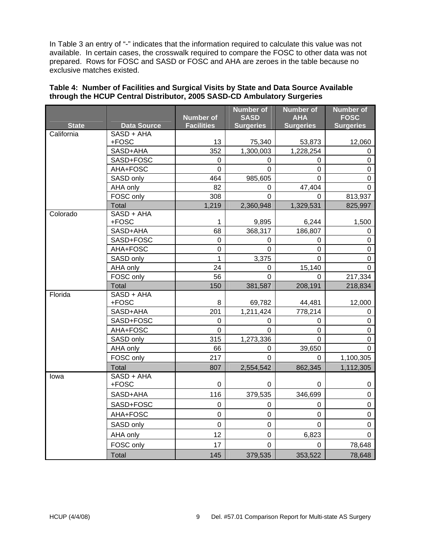In Table 3 an entry of "-" indicates that the information required to calculate this value was not available. In certain cases, the crosswalk required to compare the FOSC to other data was not prepared. Rows for FOSC and SASD or FOSC and AHA are zeroes in the table because no exclusive matches existed.

|              |                       | <b>Number of</b>  | <b>Number of</b><br><b>SASD</b> | <b>Number of</b><br><b>AHA</b> | <b>Number of</b><br><b>FOSC</b> |
|--------------|-----------------------|-------------------|---------------------------------|--------------------------------|---------------------------------|
| <b>State</b> | <b>Data Source</b>    | <b>Facilities</b> | <b>Surgeries</b>                | <b>Surgeries</b>               | <b>Surgeries</b>                |
| California   | SASD + AHA            |                   |                                 |                                |                                 |
|              | +FOSC                 | 13                | 75,340                          | 53,873                         | 12,060                          |
|              | SASD+AHA              | 352               | 1,300,003                       | 1,228,254                      | 0                               |
|              | SASD+FOSC             | 0                 | 0                               | 0                              | 0                               |
|              | AHA+FOSC              | $\Omega$          | 0                               | 0                              | 0                               |
|              | SASD only             | 464               | 985,605                         | 0                              | 0                               |
|              | AHA only              | 82                | 0                               | 47,404                         | 0                               |
|              | FOSC only             | 308               | 0                               | $\Omega$                       | 813,937                         |
|              | Total                 | 1,219             | 2,360,948                       | 1,329,531                      | 825,997                         |
| Colorado     | $SASD + AHA$<br>+FOSC | 1                 | 9,895                           | 6,244                          | 1,500                           |
|              | SASD+AHA              | 68                | 368,317                         | 186,807                        | 0                               |
|              | SASD+FOSC             | 0                 | 0                               | 0                              | 0                               |
|              | AHA+FOSC              | 0                 | 0                               | 0                              | 0                               |
|              | SASD only             | 1                 | 3,375                           | 0                              | 0                               |
|              | AHA only              | 24                | 0                               | 15,140                         | $\Omega$                        |
|              | FOSC only             | 56                | 0                               | 0                              | 217,334                         |
|              | Total                 | 150               | 381,587                         | 208,191                        | 218,834                         |
| Florida      | SASD + AHA            |                   |                                 |                                |                                 |
|              | +FOSC                 | 8                 | 69,782                          | 44,481                         | 12,000                          |
|              | SASD+AHA              | 201               | 1,211,424                       | 778,214                        | 0                               |
|              | SASD+FOSC             | 0                 | 0                               | 0                              | $\pmb{0}$                       |
|              | AHA+FOSC              | 0                 | 0                               | 0                              | 0                               |
|              | SASD only             | 315               | 1,273,336                       | 0                              | 0                               |
|              | AHA only              | 66                | $\Omega$                        | 39,650                         | 0                               |
|              | FOSC only             | 217               | $\Omega$                        | $\Omega$                       | 1,100,305                       |
|              | Total                 | 807               | 2,554,542                       | 862,345                        | 1,112,305                       |
| lowa         | $SASD + AHA$<br>+FOSC | 0                 | 0                               | 0                              |                                 |
|              |                       | 116               |                                 |                                | 0<br>$\mathbf 0$                |
|              | SASD+AHA              |                   | 379,535                         | 346,699                        |                                 |
|              | SASD+FOSC             | $\Omega$          | $\Omega$                        | 0                              | $\Omega$                        |
|              | AHA+FOSC              | $\overline{0}$    | $\pmb{0}$                       | $\pmb{0}$                      | $\pmb{0}$                       |
|              | SASD only             | 0                 | 0                               | 0                              | 0                               |
|              | AHA only              | 12                | $\pmb{0}$                       | 6,823                          | 0                               |
|              | FOSC only             | 17                | $\Omega$                        | $\Omega$                       | 78,648                          |
|              | Total                 | 145               | 379,535                         | 353,522                        | 78,648                          |

#### **Table 4: Number of Facilities and Surgical Visits by State and Data Source Available through the HCUP Central Distributor, 2005 SASD-CD Ambulatory Surgeries**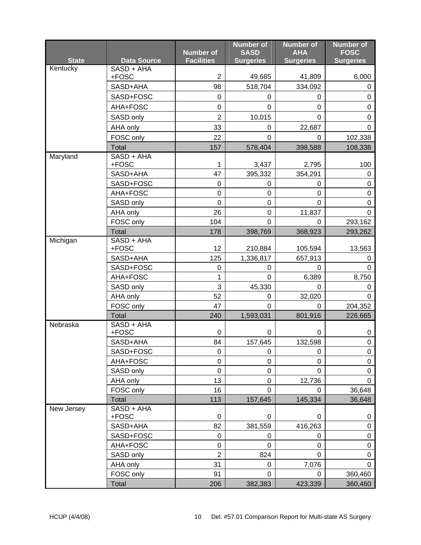|              |                     | <b>Number of</b>  | <b>Number of</b><br><b>SASD</b> | <b>Number of</b><br><b>AHA</b> | <b>Number of</b><br><b>FOSC</b> |
|--------------|---------------------|-------------------|---------------------------------|--------------------------------|---------------------------------|
| <b>State</b> | <b>Data Source</b>  | <b>Facilities</b> | <b>Surgeries</b>                | <b>Surgeries</b>               | <b>Surgeries</b>                |
| Kentucky     | SASD + AHA<br>+FOSC | $\overline{2}$    | 49,685                          | 41,809                         | 6,000                           |
|              | SASD+AHA            | 98                | 518,704                         | 334,092                        | 0                               |
|              | SASD+FOSC           | $\pmb{0}$         | 0                               | 0                              | $\pmb{0}$                       |
|              | AHA+FOSC            | 0                 | $\Omega$                        | 0                              | 0                               |
|              | SASD only           | $\overline{2}$    | 10,015                          | 0                              | 0                               |
|              | AHA only            | 33                | 0                               | 22,687                         | 0                               |
|              | FOSC only           | 22                | $\mathbf 0$                     | 0                              | 102,338                         |
|              | Total               | 157               | 578,404                         | 398,588                        | 108,338                         |
| Maryland     | SASD + AHA          |                   |                                 |                                |                                 |
|              | +FOSC               | 1                 | 3,437                           | 2,795                          | 100                             |
|              | SASD+AHA            | 47                | 395,332                         | 354,291                        | 0                               |
|              | SASD+FOSC           | $\mathbf 0$       | 0                               | 0                              | $\mathbf 0$                     |
|              | AHA+FOSC            | $\pmb{0}$         | 0                               | 0                              | 0                               |
|              | SASD only           | $\overline{0}$    | $\mathbf 0$                     | $\mathbf 0$                    | $\mathbf 0$                     |
|              | AHA only            | 26                | $\pmb{0}$                       | 11,837                         | $\mathbf 0$                     |
|              | FOSC only           | 104               | $\Omega$                        | 0                              | 293,162                         |
|              | Total               | 178               | 398,769                         | 368,923                        | 293,262                         |
| Michigan     | SASD + AHA<br>+FOSC | 12                | 210,884                         | 105,594                        | 13,563                          |
|              | SASD+AHA            | 125               | 1,336,817                       | 657,913                        | 0                               |
|              | SASD+FOSC           | 0                 | 0                               | 0                              | 0                               |
|              | AHA+FOSC            | 1                 | $\mathbf 0$                     | 6,389                          | 8,750                           |
|              | SASD only           | 3                 | 45,330                          | 0                              | 0                               |
|              | AHA only            | 52                | 0                               | 32,020                         | 0                               |
|              | FOSC only           | 47                | $\Omega$                        | 0                              | 204,352                         |
|              | Total               | 240               | 1,593,031                       | 801,916                        | 226,665                         |
| Nebraska     | $SASD + AHA$        |                   |                                 |                                |                                 |
|              | +FOSC               | $\mathbf 0$       | 0                               | 0                              | 0                               |
|              | SASD+AHA            | 84                | 157,645                         | 132,598                        | 0                               |
|              | SASD+FOSC           | 0                 | 0                               | 0                              | 0                               |
|              | AHA+FOSC            | $\mathbf 0$       | 0                               | 0                              | 0                               |
|              | SASD only           | $\pmb{0}$         | $\pmb{0}$                       | $\Omega$                       | 0                               |
|              | AHA only            | 13                | $\mathbf 0$                     | 12,736                         | $\Omega$                        |
|              | FOSC only           | 16                | $\mathbf 0$                     | 0                              | 36,648                          |
|              | Total<br>SASD + AHA | 113               | 157,645                         | 145,334                        | 36,648                          |
| New Jersey   | +FOSC               | 0                 | 0                               | 0                              | 0                               |
|              | SASD+AHA            | 82                | 381,559                         | 416,263                        | 0                               |
|              | SASD+FOSC           | $\mathsf 0$       | 0                               | 0                              | 0                               |
|              | AHA+FOSC            | $\pmb{0}$         | 0                               | 0                              | 0                               |
|              | SASD only           | $\overline{2}$    | 824                             | 0                              | 0                               |
|              | AHA only            | 31                | 0                               | 7,076                          | 0                               |
|              | FOSC only           | 91                | $\Omega$                        | 0                              | 360,460                         |
|              | Total               | 206               | 382,383                         | 423,339                        | 360,460                         |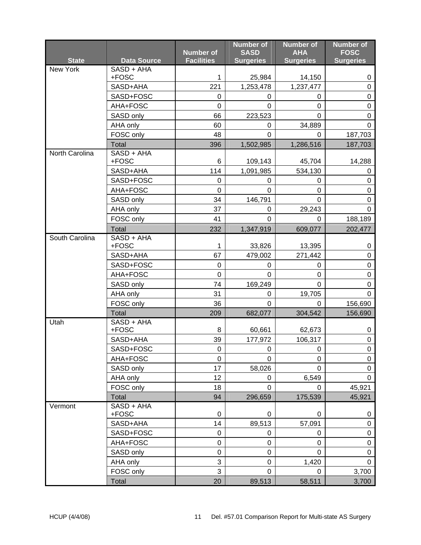|                |                       | <b>Number of</b>  | <b>Number of</b><br><b>SASD</b> | <b>Number of</b><br><b>AHA</b> | <b>Number of</b><br><b>FOSC</b> |
|----------------|-----------------------|-------------------|---------------------------------|--------------------------------|---------------------------------|
| <b>State</b>   | <b>Data Source</b>    | <b>Facilities</b> | <b>Surgeries</b>                | <b>Surgeries</b>               | <b>Surgeries</b>                |
| New York       | $SASD + AHA$          |                   |                                 |                                |                                 |
|                | +FOSC                 | 1<br>221          | 25,984                          | 14,150                         | 0<br>$\boldsymbol{0}$           |
|                | SASD+AHA              |                   | 1,253,478                       | 1,237,477                      | 0                               |
|                | SASD+FOSC<br>AHA+FOSC | 0<br>0            | 0<br>$\Omega$                   | 0<br>0                         | 0                               |
|                |                       | 66                |                                 |                                |                                 |
|                | SASD only             | 60                | 223,523<br>0                    | 0<br>34,889                    | 0<br>$\Omega$                   |
|                | AHA only<br>FOSC only | 48                | 0                               | 0                              | 187,703                         |
|                | Total                 | 396               | 1,502,985                       | 1,286,516                      | 187,703                         |
| North Carolina | SASD + AHA            |                   |                                 |                                |                                 |
|                | +FOSC                 | 6                 | 109,143                         | 45,704                         | 14,288                          |
|                | SASD+AHA              | 114               | 1,091,985                       | 534,130                        | 0                               |
|                | SASD+FOSC             | 0                 | 0                               | 0                              | 0                               |
|                | AHA+FOSC              | $\mathbf 0$       | $\Omega$                        | 0                              | 0                               |
|                | SASD only             | 34                | 146,791                         | $\Omega$                       | 0                               |
|                | AHA only              | 37                | 0                               | 29,243                         | 0                               |
|                | FOSC only             | 41                | 0                               | 0                              | 188,189                         |
|                | Total                 | 232               | 1,347,919                       | 609,077                        | 202,477                         |
| South Carolina | SASD + AHA            |                   |                                 |                                |                                 |
|                | +FOSC                 | 1                 | 33,826                          | 13,395                         | 0                               |
|                | SASD+AHA              | 67                | 479,002                         | 271,442                        | 0                               |
|                | SASD+FOSC             | 0<br>$\mathbf 0$  | 0                               | 0                              | 0                               |
|                | AHA+FOSC              |                   | $\mathbf 0$                     | $\pmb{0}$                      | $\boldsymbol{0}$                |
|                | SASD only             | 74                | 169,249                         | $\Omega$                       | 0<br>$\Omega$                   |
|                | AHA only              | 31                | 0<br>0                          | 19,705                         |                                 |
|                | FOSC only<br>Total    | 36                |                                 | 0                              | 156,690                         |
| Utah           | SASD + AHA            | 209               | 682,077                         | 304,542                        | 156,690                         |
|                | +FOSC                 | 8                 | 60,661                          | 62,673                         | 0                               |
|                | SASD+AHA              | 39                | 177,972                         | 106,317                        | 0                               |
|                | SASD+FOSC             | $\pmb{0}$         | 0                               | $\mathbf 0$                    | $\mathbf 0$                     |
|                | AHA+FOSC              | 0                 | $\Omega$                        | $\mathbf 0$                    | 0                               |
|                | SASD only             | 17                | 58,026                          | $\Omega$                       | 0                               |
|                | AHA only              | 12                | 0                               | 6,549                          | $\mathbf 0$                     |
|                | FOSC only             | 18                | 0                               | 0                              | 45,921                          |
|                | Total                 | 94                | 296,659                         | 175,539                        | 45,921                          |
| Vermont        | SASD + AHA            |                   |                                 |                                |                                 |
|                | +FOSC                 | 0                 | $\mathbf 0$                     | 0                              | 0                               |
|                | SASD+AHA              | 14                | 89,513                          | 57,091                         | $\boldsymbol{0}$                |
|                | SASD+FOSC             | 0                 | 0                               | 0                              | 0                               |
|                | AHA+FOSC              | 0                 | 0                               | $\overline{0}$                 | 0                               |
|                | SASD only             | $\pmb{0}$         | 0                               | 0                              | 0                               |
|                | AHA only              | 3                 | 0                               | 1,420                          | 0                               |
|                | FOSC only             | 3                 | 0                               | $\Omega$                       | 3,700                           |
|                | Total                 | 20                | 89,513                          | 58,511                         | 3,700                           |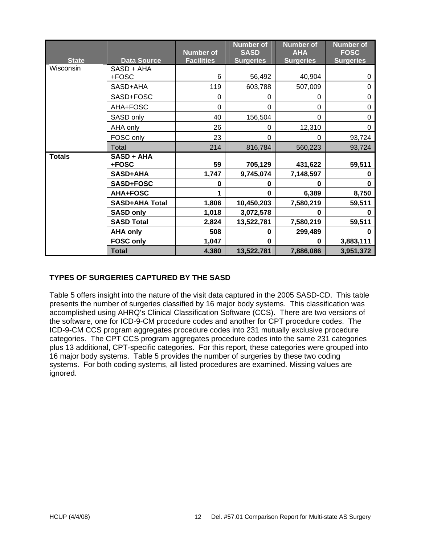|               |                       | <b>Number of</b>  | <b>Number of</b><br><b>SASD</b> | <b>Number of</b><br><b>AHA</b> | <b>Number of</b><br><b>FOSC</b> |
|---------------|-----------------------|-------------------|---------------------------------|--------------------------------|---------------------------------|
| <b>State</b>  | <b>Data Source</b>    | <b>Facilities</b> | <b>Surgeries</b>                | <b>Surgeries</b>               | <b>Surgeries</b>                |
| Wisconsin     | SASD + AHA            |                   |                                 |                                |                                 |
|               | +FOSC                 | 6                 | 56,492                          | 40,904                         | 0                               |
|               | SASD+AHA              | 119               | 603,788                         | 507,009                        | 0                               |
|               | SASD+FOSC             | $\Omega$          | 0                               | 0                              | 0                               |
|               | AHA+FOSC              | $\Omega$          | $\Omega$                        | 0                              | 0                               |
|               | SASD only             | 40                | 156,504                         | $\Omega$                       | 0                               |
|               | AHA only              | 26                | 0                               | 12,310                         | $\Omega$                        |
|               | FOSC only             | 23                | $\Omega$                        | 0                              | 93,724                          |
|               | Total                 | 214               | 816,784                         | 560,223                        | 93,724                          |
| <b>Totals</b> | SASD + AHA            |                   |                                 |                                |                                 |
|               | +FOSC                 | 59                | 705,129                         | 431,622                        | 59,511                          |
|               | <b>SASD+AHA</b>       | 1,747             | 9,745,074                       | 7,148,597                      | O                               |
|               | <b>SASD+FOSC</b>      | $\bf{0}$          | 0                               | $\bf{0}$                       | 0                               |
|               | <b>AHA+FOSC</b>       |                   | $\Omega$                        | 6,389                          | 8,750                           |
|               | <b>SASD+AHA Total</b> | 1,806             | 10,450,203                      | 7,580,219                      | 59,511                          |
|               | <b>SASD only</b>      | 1,018             | 3,072,578                       | $\bf{0}$                       | 0                               |
|               | <b>SASD Total</b>     | 2,824             | 13,522,781                      | 7,580,219                      | 59,511                          |
|               | <b>AHA only</b>       | 508               | O                               | 299,489                        | n                               |
|               | <b>FOSC only</b>      | 1,047             | $\bf{0}$                        | $\bf{0}$                       | 3,883,111                       |
|               | <b>Total</b>          | 4,380             | 13,522,781                      | 7,886,086                      | 3,951,372                       |

#### **TYPES OF SURGERIES CAPTURED BY THE SASD**

Table 5 offers insight into the nature of the visit data captured in the 2005 SASD-CD. This table presents the number of surgeries classified by 16 major body systems. This classification was accomplished using AHRQ's Clinical Classification Software (CCS). There are two versions of the software, one for ICD-9-CM procedure codes and another for CPT procedure codes. The ICD-9-CM CCS program aggregates procedure codes into 231 mutually exclusive procedure categories. The CPT CCS program aggregates procedure codes into the same 231 categories plus 13 additional, CPT-specific categories. For this report, these categories were grouped into 16 major body systems. Table 5 provides the number of surgeries by these two coding systems. For both coding systems, all listed procedures are examined. Missing values are ignored.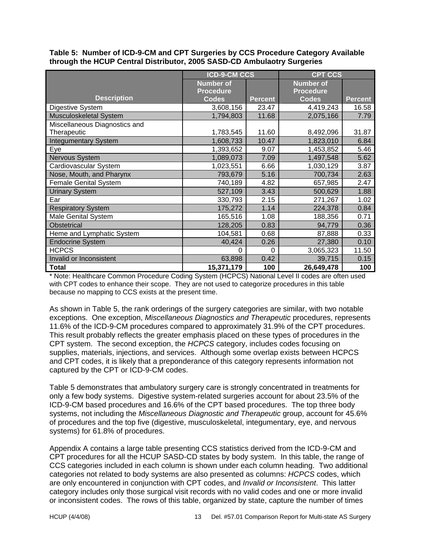**Table 5: Number of ICD-9-CM and CPT Surgeries by CCS Procedure Category Available through the HCUP Central Distributor, 2005 SASD-CD Ambulaotry Surgeries** 

|                               | <b>ICD-9-CM CCS</b> |                | <b>CPT CCS</b>   |                |  |
|-------------------------------|---------------------|----------------|------------------|----------------|--|
|                               | <b>Number of</b>    |                | <b>Number of</b> |                |  |
|                               | <b>Procedure</b>    |                | <b>Procedure</b> |                |  |
| <b>Description</b>            | <b>Codes</b>        | <b>Percent</b> | <b>Codes</b>     | <b>Percent</b> |  |
| Digestive System              | 3,608,156           | 23.47          | 4,419,243        | 16.58          |  |
| Musculoskeletal System        | 1,794,803           | 11.68          | 2,075,166        | 7.79           |  |
| Miscellaneous Diagnostics and |                     |                |                  |                |  |
| Therapeutic                   | 1,783,545           | 11.60          | 8,492,096        | 31.87          |  |
| <b>Integumentary System</b>   | 1,608,733           | 10.47          | 1,823,010        | 6.84           |  |
| Eye                           | 1,393,652           | 9.07           | 1,453,852        | 5.46           |  |
| Nervous System                | 1,089,073           | 7.09           | 1,497,548        | 5.62           |  |
| Cardiovascular System         | 1,023,551           | 6.66           | 1,030,129        | 3.87           |  |
| Nose, Mouth, and Pharynx      | 793,679             | 5.16           | 700,734          | 2.63           |  |
| <b>Female Genital System</b>  | 740,189             | 4.82           | 657,985          | 2.47           |  |
| <b>Urinary System</b>         | 527,109             | 3.43           | 500,629          | 1.88           |  |
| Ear                           | 330,793             | 2.15           | 271,267          | 1.02           |  |
| <b>Respiratory System</b>     | 175,272             | 1.14           | 224,378          | 0.84           |  |
| Male Genital System           | 165,516             | 1.08           | 188,356          | 0.71           |  |
| Obstetrical                   | 128,205             | 0.83           | 94,779           | 0.36           |  |
| Heme and Lymphatic System     | 104,581             | 0.68           | 87,888           | 0.33           |  |
| <b>Endocrine System</b>       | 40,424              | 0.26           | 27,380           | 0.10           |  |
| <b>HCPCS</b>                  | 0                   | 0              | 3,065,323        | 11.50          |  |
| Invalid or Inconsistent       | 63,898              | 0.42           | 39,715           | 0.15           |  |
| <b>Total</b>                  | 15,371,179          | 100            | 26,649,478       | 100            |  |

\* Note: Healthcare Common Procedure Coding System (HCPCS) National Level II codes are often used with CPT codes to enhance their scope. They are not used to categorize procedures in this table because no mapping to CCS exists at the present time.

As shown in Table 5, the rank orderings of the surgery categories are similar, with two notable exceptions. One exception, *Miscellaneous Diagnostics and Therapeutic* procedures, represents 11.6% of the ICD-9-CM procedures compared to approximately 31.9% of the CPT procedures. This result probably reflects the greater emphasis placed on these types of procedures in the CPT system. The second exception, the *HCPCS* category, includes codes focusing on supplies, materials, injections, and services. Although some overlap exists between HCPCS and CPT codes, it is likely that a preponderance of this category represents information not captured by the CPT or ICD-9-CM codes.

Table 5 demonstrates that ambulatory surgery care is strongly concentrated in treatments for only a few body systems. Digestive system-related surgeries account for about 23.5% of the ICD-9-CM based procedures and 16.6% of the CPT based procedures. The top three body systems, not including the *Miscellaneous Diagnostic and Therapeutic* group, account for 45.6% of procedures and the top five (digestive, musculoskeletal, integumentary, eye, and nervous systems) for 61.8% of procedures.

Appendix A contains a large table presenting CCS statistics derived from the ICD-9-CM and CPT procedures for all the HCUP SASD-CD states by body system. In this table, the range of CCS categories included in each column is shown under each column heading. Two additional categories not related to body systems are also presented as columns: *HCPCS* codes, which are only encountered in conjunction with CPT codes, and *Invalid or Inconsistent*. This latter category includes only those surgical visit records with no valid codes and one or more invalid or inconsistent codes. The rows of this table, organized by state, capture the number of times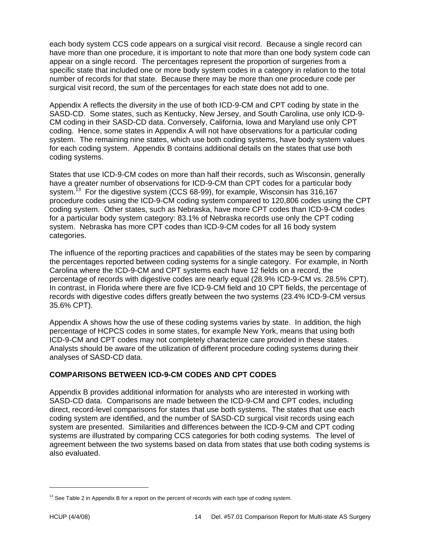each body system CCS code appears on a surgical visit record. Because a single record can have more than one procedure, it is important to note that more than one body system code can appear on a single record. The percentages represent the proportion of surgeries from a specific state that included one or more body system codes in a category in relation to the total number of records for that state. Because there may be more than one procedure code per surgical visit record, the sum of the percentages for each state does not add to one.

Appendix A reflects the diversity in the use of both ICD-9-CM and CPT coding by state in the SASD-CD. Some states, such as Kentucky, New Jersey, and South Carolina, use only ICD-9- CM coding in their SASD-CD data. Conversely, California, Iowa and Maryland use only CPT coding. Hence, some states in Appendix A will not have observations for a particular coding system. The remaining nine states, which use both coding systems, have body system values for each coding system. Appendix B contains additional details on the states that use both coding systems.

States that use ICD-9-CM codes on more than half their records, such as Wisconsin, generally have a greater number of observations for ICD-9-CM than CPT codes for a particular body system.<sup>13</sup> For the digestive system (CCS 68-99), for example, Wisconsin has 316,167 procedure codes using the ICD-9-CM coding system compared to 120,806 codes using the CPT coding system. Other states, such as Nebraska, have more CPT codes than ICD-9-CM codes for a particular body system category: 83.1% of Nebraska records use only the CPT coding system. Nebraska has more CPT codes than ICD-9-CM codes for all 16 body system categories.

The influence of the reporting practices and capabilities of the states may be seen by comparing the percentages reported between coding systems for a single category. For example, in North Carolina where the ICD-9-CM and CPT systems each have 12 fields on a record, the percentage of records with digestive codes are nearly equal (28.9% ICD-9-CM vs. 28.5% CPT). In contrast, in Florida where there are five ICD-9-CM field and 10 CPT fields, the percentage of records with digestive codes differs greatly between the two systems (23.4% ICD-9-CM versus 35.6% CPT).

Appendix A shows how the use of these coding systems varies by state. In addition, the high percentage of HCPCS codes in some states, for example New York, means that using both ICD-9-CM and CPT codes may not completely characterize care provided in these states. Analysts should be aware of the utilization of different procedure coding systems during their analyses of SASD-CD data.

#### **COMPARISONS BETWEEN ICD-9-CM CODES AND CPT CODES**

Appendix B provides additional information for analysts who are interested in working with SASD-CD data. Comparisons are made between the ICD-9-CM and CPT codes, including direct, record-level comparisons for states that use both systems. The states that use each coding system are identified, and the number of SASD-CD surgical visit records using each system are presented. Similarities and differences between the ICD-9-CM and CPT coding systems are illustrated by comparing CCS categories for both coding systems. The level of agreement between the two systems based on data from states that use both coding systems is also evaluated.

 $\overline{a}$ 

<sup>&</sup>lt;sup>13</sup> See Table 2 in Appendix B for a report on the percent of records with each type of coding system.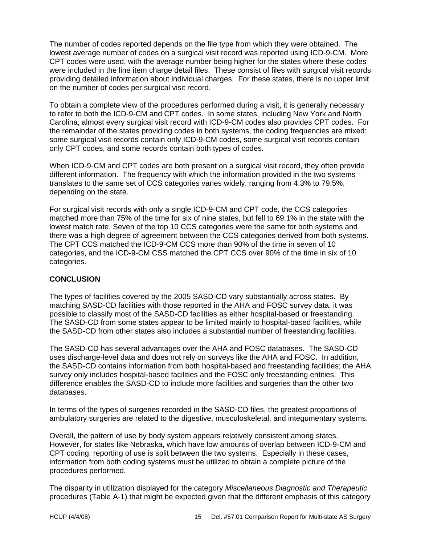The number of codes reported depends on the file type from which they were obtained. The lowest average number of codes on a surgical visit record was reported using ICD-9-CM. More CPT codes were used, with the average number being higher for the states where these codes were included in the line item charge detail files. These consist of files with surgical visit records providing detailed information about individual charges. For these states, there is no upper limit on the number of codes per surgical visit record.

To obtain a complete view of the procedures performed during a visit, it is generally necessary to refer to both the ICD-9-CM and CPT codes. In some states, including New York and North Carolina, almost every surgical visit record with ICD-9-CM codes also provides CPT codes. For the remainder of the states providing codes in both systems, the coding frequencies are mixed: some surgical visit records contain only ICD-9-CM codes, some surgical visit records contain only CPT codes, and some records contain both types of codes.

When ICD-9-CM and CPT codes are both present on a surgical visit record, they often provide different information. The frequency with which the information provided in the two systems translates to the same set of CCS categories varies widely, ranging from 4.3% to 79.5%, depending on the state.

For surgical visit records with only a single ICD-9-CM and CPT code, the CCS categories matched more than 75% of the time for six of nine states, but fell to 69.1% in the state with the lowest match rate. Seven of the top 10 CCS categories were the same for both systems and there was a high degree of agreement between the CCS categories derived from both systems. The CPT CCS matched the ICD-9-CM CCS more than 90% of the time in seven of 10 categories, and the ICD-9-CM CSS matched the CPT CCS over 90% of the time in six of 10 categories.

#### **CONCLUSION**

The types of facilities covered by the 2005 SASD-CD vary substantially across states. By matching SASD-CD facilities with those reported in the AHA and FOSC survey data, it was possible to classify most of the SASD-CD facilities as either hospital-based or freestanding. The SASD-CD from some states appear to be limited mainly to hospital-based facilities, while the SASD-CD from other states also includes a substantial number of freestanding facilities.

The SASD-CD has several advantages over the AHA and FOSC databases. The SASD-CD uses discharge-level data and does not rely on surveys like the AHA and FOSC. In addition, the SASD-CD contains information from both hospital-based and freestanding facilities; the AHA survey only includes hospital-based facilities and the FOSC only freestanding entities. This difference enables the SASD-CD to include more facilities and surgeries than the other two databases.

In terms of the types of surgeries recorded in the SASD-CD files, the greatest proportions of ambulatory surgeries are related to the digestive, musculoskeletal, and integumentary systems.

Overall, the pattern of use by body system appears relatively consistent among states. However, for states like Nebraska, which have low amounts of overlap between ICD-9-CM and CPT coding, reporting of use is split between the two systems. Especially in these cases, information from both coding systems must be utilized to obtain a complete picture of the procedures performed.

The disparity in utilization displayed for the category *Miscellaneous Diagnostic and Therapeutic* procedures (Table A-1) that might be expected given that the different emphasis of this category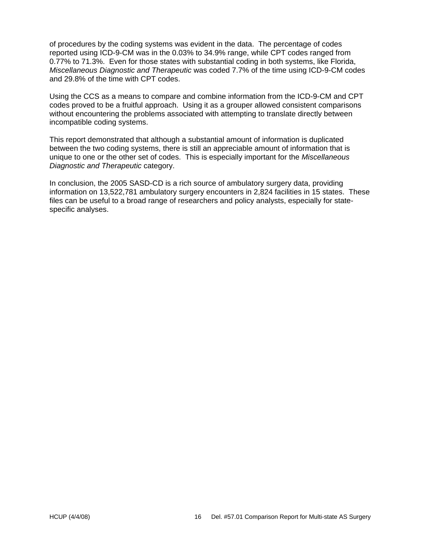of procedures by the coding systems was evident in the data. The percentage of codes reported using ICD-9-CM was in the 0.03% to 34.9% range, while CPT codes ranged from 0.77% to 71.3%. Even for those states with substantial coding in both systems, like Florida, *Miscellaneous Diagnostic and Therapeutic* was coded 7.7% of the time using ICD-9-CM codes and 29.8% of the time with CPT codes.

Using the CCS as a means to compare and combine information from the ICD-9-CM and CPT codes proved to be a fruitful approach. Using it as a grouper allowed consistent comparisons without encountering the problems associated with attempting to translate directly between incompatible coding systems.

This report demonstrated that although a substantial amount of information is duplicated between the two coding systems, there is still an appreciable amount of information that is unique to one or the other set of codes. This is especially important for the *Miscellaneous Diagnostic and Therapeutic* category.

In conclusion, the 2005 SASD-CD is a rich source of ambulatory surgery data, providing information on 13,522,781 ambulatory surgery encounters in 2,824 facilities in 15 states. These files can be useful to a broad range of researchers and policy analysts, especially for statespecific analyses.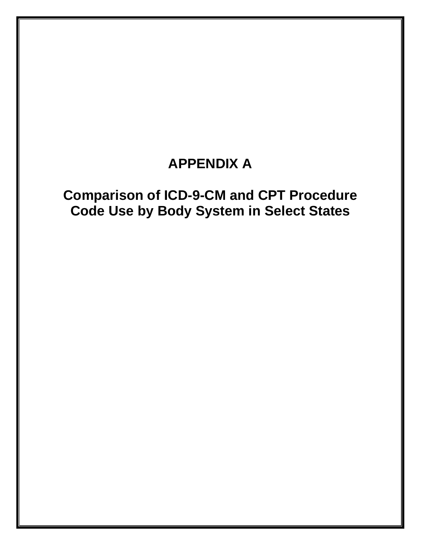## **APPENDIX A**

## **Comparison of ICD-9-CM and CPT Procedure Code Use by Body System in Select States**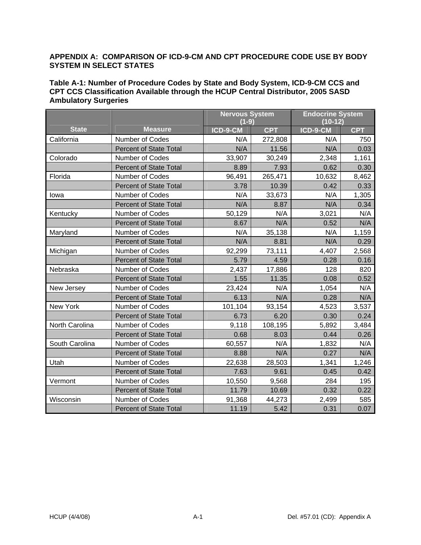#### **APPENDIX A: COMPARISON OF ICD-9-CM AND CPT PROCEDURE CODE USE BY BODY SYSTEM IN SELECT STATES**

| Table A-1: Number of Procedure Codes by State and Body System, ICD-9-CM CCS and  |
|----------------------------------------------------------------------------------|
| CPT CCS Classification Available through the HCUP Central Distributor, 2005 SASD |
| <b>Ambulatory Surgeries</b>                                                      |

|                |                               | <b>Nervous System</b><br>$(1-9)$ |            | <b>Endocrine System</b><br>$(10-12)$ |            |
|----------------|-------------------------------|----------------------------------|------------|--------------------------------------|------------|
| <b>State</b>   | <b>Measure</b>                | ICD-9-CM                         | <b>CPT</b> | ICD-9-CM                             | <b>CPT</b> |
| California     | Number of Codes               | N/A                              | 272,808    | N/A                                  | 750        |
|                | <b>Percent of State Total</b> | N/A                              | 11.56      | N/A                                  | 0.03       |
| Colorado       | Number of Codes               | 33,907                           | 30,249     | 2,348                                | 1,161      |
|                | <b>Percent of State Total</b> | 8.89                             | 7.93       | 0.62                                 | 0.30       |
| Florida        | Number of Codes               | 96,491                           | 265,471    | 10,632                               | 8,462      |
|                | <b>Percent of State Total</b> | 3.78                             | 10.39      | 0.42                                 | 0.33       |
| lowa           | Number of Codes               | N/A                              | 33,673     | N/A                                  | 1,305      |
|                | <b>Percent of State Total</b> | N/A                              | 8.87       | N/A                                  | 0.34       |
| Kentucky       | Number of Codes               | 50,129                           | N/A        | 3,021                                | N/A        |
|                | <b>Percent of State Total</b> | 8.67                             | N/A        | 0.52                                 | N/A        |
| Maryland       | Number of Codes               | N/A                              | 35,138     | N/A                                  | 1,159      |
|                | <b>Percent of State Total</b> | N/A                              | 8.81       | N/A                                  | 0.29       |
| Michigan       | Number of Codes               | 92,299                           | 73,111     | 4,407                                | 2,568      |
|                | <b>Percent of State Total</b> | 5.79                             | 4.59       | 0.28                                 | 0.16       |
| Nebraska       | Number of Codes               | 2,437                            | 17,886     | 128                                  | 820        |
|                | <b>Percent of State Total</b> | 1.55                             | 11.35      | 0.08                                 | 0.52       |
| New Jersey     | Number of Codes               | 23,424                           | N/A        | 1,054                                | N/A        |
|                | <b>Percent of State Total</b> | 6.13                             | N/A        | 0.28                                 | N/A        |
| New York       | Number of Codes               | 101,104                          | 93,154     | 4,523                                | 3,537      |
|                | <b>Percent of State Total</b> | 6.73                             | 6.20       | 0.30                                 | 0.24       |
| North Carolina | Number of Codes               | 9,118                            | 108,195    | 5,892                                | 3,484      |
|                | <b>Percent of State Total</b> | 0.68                             | 8.03       | 0.44                                 | 0.26       |
| South Carolina | Number of Codes               | 60,557                           | N/A        | 1,832                                | N/A        |
|                | <b>Percent of State Total</b> | 8.88                             | N/A        | 0.27                                 | N/A        |
| Utah           | Number of Codes               | 22,638                           | 28,503     | 1,341                                | 1,246      |
|                | <b>Percent of State Total</b> | 7.63                             | 9.61       | 0.45                                 | 0.42       |
| Vermont        | Number of Codes               | 10,550                           | 9,568      | 284                                  | 195        |
|                | <b>Percent of State Total</b> | 11.79                            | 10.69      | 0.32                                 | 0.22       |
| Wisconsin      | Number of Codes               | 91,368                           | 44,273     | 2,499                                | 585        |
|                | <b>Percent of State Total</b> | 11.19                            | 5.42       | 0.31                                 | 0.07       |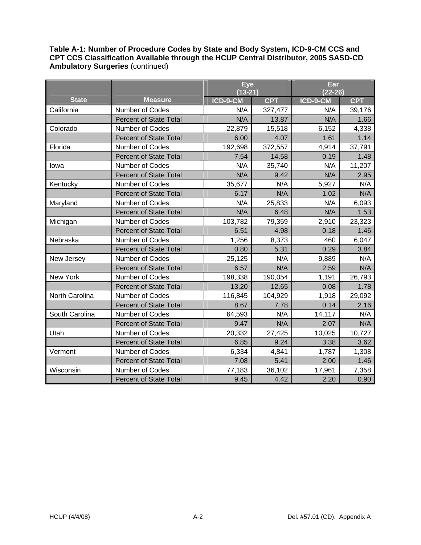|                |                               | <b>Eye</b> |            | Ear       |            |
|----------------|-------------------------------|------------|------------|-----------|------------|
|                |                               | $(13-21)$  |            | $(22-26)$ |            |
| <b>State</b>   | <b>Measure</b>                | ICD-9-CM   | <b>CPT</b> | ICD-9-CM  | <b>CPT</b> |
| California     | Number of Codes               | N/A        | 327,477    | N/A       | 39,176     |
|                | <b>Percent of State Total</b> | N/A        | 13.87      | N/A       | 1.66       |
| Colorado       | Number of Codes               | 22,879     | 15,518     | 6,152     | 4,338      |
|                | <b>Percent of State Total</b> | 6.00       | 4.07       | 1.61      | 1.14       |
| Florida        | Number of Codes               | 192,698    | 372,557    | 4,914     | 37,791     |
|                | <b>Percent of State Total</b> | 7.54       | 14.58      | 0.19      | 1.48       |
| lowa           | Number of Codes               | N/A        | 35,740     | N/A       | 11,207     |
|                | <b>Percent of State Total</b> | N/A        | 9.42       | N/A       | 2.95       |
| Kentucky       | <b>Number of Codes</b>        | 35,677     | N/A        | 5,927     | N/A        |
|                | <b>Percent of State Total</b> | 6.17       | N/A        | 1.02      | N/A        |
| Maryland       | <b>Number of Codes</b>        | N/A        | 25,833     | N/A       | 6,093      |
|                | <b>Percent of State Total</b> | N/A        | 6.48       | N/A       | 1.53       |
| Michigan       | Number of Codes               | 103,782    | 79,359     | 2,910     | 23,323     |
|                | <b>Percent of State Total</b> | 6.51       | 4.98       | 0.18      | 1.46       |
| Nebraska       | <b>Number of Codes</b>        | 1,256      | 8,373      | 460       | 6,047      |
|                | <b>Percent of State Total</b> | 0.80       | 5.31       | 0.29      | 3.84       |
| New Jersey     | Number of Codes               | 25,125     | N/A        | 9,889     | N/A        |
|                | <b>Percent of State Total</b> | 6.57       | N/A        | 2.59      | N/A        |
| New York       | Number of Codes               | 198,338    | 190,054    | 1,191     | 26,793     |
|                | <b>Percent of State Total</b> | 13.20      | 12.65      | 0.08      | 1.78       |
| North Carolina | Number of Codes               | 116,845    | 104,929    | 1,918     | 29,092     |
|                | <b>Percent of State Total</b> | 8.67       | 7.78       | 0.14      | 2.16       |
| South Carolina | Number of Codes               | 64,593     | N/A        | 14,117    | N/A        |
|                | <b>Percent of State Total</b> | 9.47       | N/A        | 2.07      | N/A        |
| Utah           | Number of Codes               | 20,332     | 27,425     | 10,025    | 10,727     |
|                | <b>Percent of State Total</b> | 6.85       | 9.24       | 3.38      | 3.62       |
| Vermont        | Number of Codes               | 6,334      | 4,841      | 1,787     | 1,308      |
|                | <b>Percent of State Total</b> | 7.08       | 5.41       | 2.00      | 1.46       |
| Wisconsin      | Number of Codes               | 77,183     | 36,102     | 17,961    | 7,358      |
|                | <b>Percent of State Total</b> | 9.45       | 4.42       | 2.20      | 0.90       |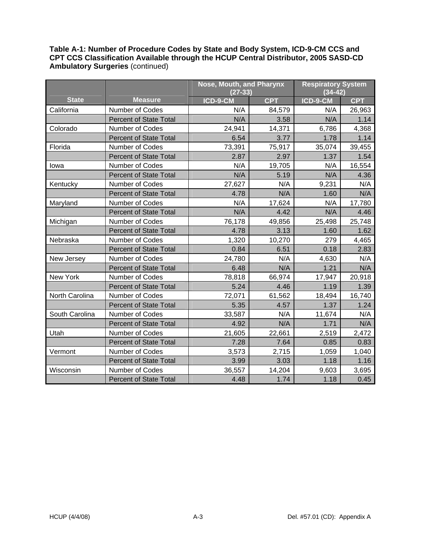|                |                               | Nose, Mouth, and Pharynx |            | <b>Respiratory System</b> |            |
|----------------|-------------------------------|--------------------------|------------|---------------------------|------------|
|                |                               | $(27-33)$                |            | $(34 - 42)$               |            |
| <b>State</b>   | <b>Measure</b>                | ICD-9-CM                 | <b>CPT</b> | ICD-9-CM                  | <b>CPT</b> |
| California     | <b>Number of Codes</b>        | N/A                      | 84,579     | N/A                       | 26,963     |
|                | <b>Percent of State Total</b> | N/A                      | 3.58       | N/A                       | 1.14       |
| Colorado       | Number of Codes               | 24,941                   | 14,371     | 6,786                     | 4,368      |
|                | <b>Percent of State Total</b> | 6.54                     | 3.77       | 1.78                      | 1.14       |
| Florida        | Number of Codes               | 73,391                   | 75,917     | 35,074                    | 39,455     |
|                | <b>Percent of State Total</b> | 2.87                     | 2.97       | 1.37                      | 1.54       |
| lowa           | Number of Codes               | N/A                      | 19,705     | N/A                       | 16,554     |
|                | <b>Percent of State Total</b> | N/A                      | 5.19       | N/A                       | 4.36       |
| Kentucky       | Number of Codes               | 27,627                   | N/A        | 9,231                     | N/A        |
|                | <b>Percent of State Total</b> | 4.78                     | N/A        | 1.60                      | N/A        |
| Maryland       | Number of Codes               | N/A                      | 17,624     | N/A                       | 17,780     |
|                | <b>Percent of State Total</b> | N/A                      | 4.42       | N/A                       | 4.46       |
| Michigan       | Number of Codes               | 76,178                   | 49,856     | 25,498                    | 25,748     |
|                | <b>Percent of State Total</b> | 4.78                     | 3.13       | 1.60                      | 1.62       |
| Nebraska       | Number of Codes               | 1,320                    | 10,270     | 279                       | 4,465      |
|                | <b>Percent of State Total</b> | 0.84                     | 6.51       | 0.18                      | 2.83       |
| New Jersey     | Number of Codes               | 24,780                   | N/A        | 4,630                     | N/A        |
|                | <b>Percent of State Total</b> | 6.48                     | N/A        | 1.21                      | N/A        |
| New York       | Number of Codes               | 78,818                   | 66,974     | 17,947                    | 20,918     |
|                | <b>Percent of State Total</b> | 5.24                     | 4.46       | 1.19                      | 1.39       |
| North Carolina | Number of Codes               | 72,071                   | 61,562     | 18,494                    | 16,740     |
|                | <b>Percent of State Total</b> | 5.35                     | 4.57       | 1.37                      | 1.24       |
| South Carolina | Number of Codes               | 33,587                   | N/A        | 11,674                    | N/A        |
|                | <b>Percent of State Total</b> | 4.92                     | N/A        | 1.71                      | N/A        |
| Utah           | <b>Number of Codes</b>        | 21,605                   | 22,661     | 2,519                     | 2,472      |
|                | <b>Percent of State Total</b> | 7.28                     | 7.64       | 0.85                      | 0.83       |
| Vermont        | Number of Codes               | 3,573                    | 2,715      | 1,059                     | 1,040      |
|                | <b>Percent of State Total</b> | 3.99                     | 3.03       | 1.18                      | 1.16       |
| Wisconsin      | Number of Codes               | 36,557                   | 14,204     | 9,603                     | 3,695      |
|                | <b>Percent of State Total</b> | 4.48                     | 1.74       | 1.18                      | 0.45       |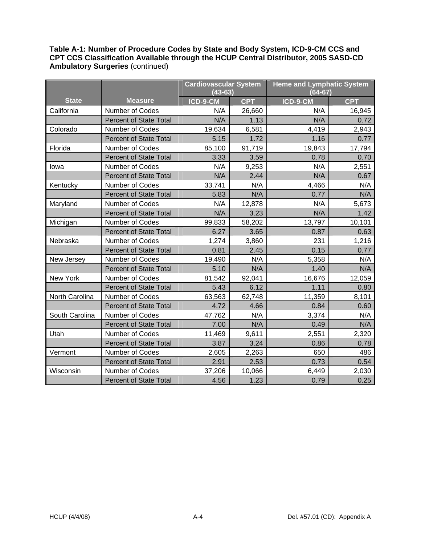|                |                               | <b>Cardiovascular System</b> |            | <b>Heme and Lymphatic System</b> |            |
|----------------|-------------------------------|------------------------------|------------|----------------------------------|------------|
|                |                               | $(43 - 63)$                  |            | $(64 - 67)$                      |            |
| <b>State</b>   | <b>Measure</b>                | ICD-9-CM                     | <b>CPT</b> | ICD-9-CM                         | <b>CPT</b> |
| California     | Number of Codes               | N/A                          | 26,660     | N/A                              | 16,945     |
|                | <b>Percent of State Total</b> | N/A                          | 1.13       | N/A                              | 0.72       |
| Colorado       | Number of Codes               | 19,634                       | 6,581      | 4,419                            | 2,943      |
|                | <b>Percent of State Total</b> | 5.15                         | 1.72       | 1.16                             | 0.77       |
| Florida        | Number of Codes               | 85,100                       | 91,719     | 19,843                           | 17,794     |
|                | <b>Percent of State Total</b> | 3.33                         | 3.59       | 0.78                             | 0.70       |
| lowa           | Number of Codes               | N/A                          | 9,253      | N/A                              | 2,551      |
|                | <b>Percent of State Total</b> | N/A                          | 2.44       | N/A                              | 0.67       |
| Kentucky       | Number of Codes               | 33,741                       | N/A        | 4,466                            | N/A        |
|                | <b>Percent of State Total</b> | 5.83                         | N/A        | 0.77                             | N/A        |
| Maryland       | <b>Number of Codes</b>        | N/A                          | 12,878     | N/A                              | 5,673      |
|                | <b>Percent of State Total</b> | N/A                          | 3.23       | N/A                              | 1.42       |
| Michigan       | <b>Number of Codes</b>        | 99,833                       | 58,202     | 13,797                           | 10,101     |
|                | <b>Percent of State Total</b> | 6.27                         | 3.65       | 0.87                             | 0.63       |
| Nebraska       | Number of Codes               | 1,274                        | 3,860      | 231                              | 1,216      |
|                | <b>Percent of State Total</b> | 0.81                         | 2.45       | 0.15                             | 0.77       |
| New Jersey     | Number of Codes               | 19,490                       | N/A        | 5,358                            | N/A        |
|                | <b>Percent of State Total</b> | 5.10                         | N/A        | 1.40                             | N/A        |
| New York       | Number of Codes               | 81,542                       | 92,041     | 16,676                           | 12,059     |
|                | <b>Percent of State Total</b> | 5.43                         | 6.12       | 1.11                             | 0.80       |
| North Carolina | Number of Codes               | 63,563                       | 62,748     | 11,359                           | 8,101      |
|                | <b>Percent of State Total</b> | 4.72                         | 4.66       | 0.84                             | 0.60       |
| South Carolina | Number of Codes               | 47,762                       | N/A        | 3,374                            | N/A        |
|                | <b>Percent of State Total</b> | 7.00                         | N/A        | 0.49                             | N/A        |
| Utah           | Number of Codes               | 11,469                       | 9,611      | 2,551                            | 2,320      |
|                | <b>Percent of State Total</b> | 3.87                         | 3.24       | 0.86                             | 0.78       |
| Vermont        | Number of Codes               | 2,605                        | 2,263      | 650                              | 486        |
|                | <b>Percent of State Total</b> | 2.91                         | 2.53       | 0.73                             | 0.54       |
| Wisconsin      | Number of Codes               | 37,206                       | 10,066     | 6,449                            | 2,030      |
|                | <b>Percent of State Total</b> | 4.56                         | 1.23       | 0.79                             | 0.25       |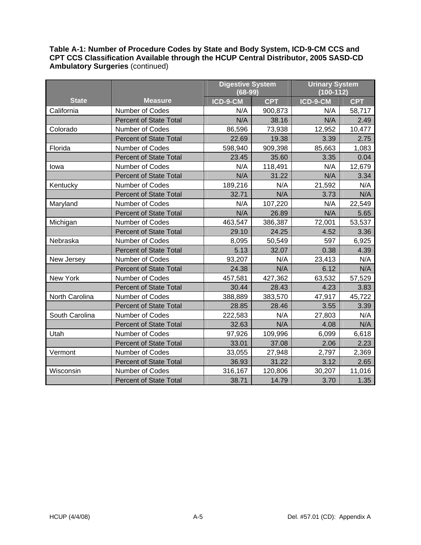|                |                               | <b>Digestive System</b> |            | <b>Urinary System</b> |            |
|----------------|-------------------------------|-------------------------|------------|-----------------------|------------|
|                |                               | $(68-99)$               |            | $(100-112)$           |            |
| <b>State</b>   | <b>Measure</b>                | ICD-9-CM                | <b>CPT</b> | ICD-9-CM              | <b>CPT</b> |
| California     | Number of Codes               | N/A                     | 900,873    | N/A                   | 58,717     |
|                | <b>Percent of State Total</b> | N/A                     | 38.16      | N/A                   | 2.49       |
| Colorado       | Number of Codes               | 86,596                  | 73,938     | 12,952                | 10,477     |
|                | <b>Percent of State Total</b> | 22.69                   | 19.38      | 3.39                  | 2.75       |
| Florida        | Number of Codes               | 598,940                 | 909,398    | 85,663                | 1,083      |
|                | <b>Percent of State Total</b> | 23.45                   | 35.60      | 3.35                  | 0.04       |
| lowa           | Number of Codes               | N/A                     | 118,491    | N/A                   | 12,679     |
|                | <b>Percent of State Total</b> | N/A                     | 31.22      | N/A                   | 3.34       |
| Kentucky       | Number of Codes               | 189,216                 | N/A        | 21,592                | N/A        |
|                | <b>Percent of State Total</b> | 32.71                   | N/A        | 3.73                  | N/A        |
| Maryland       | Number of Codes               | N/A                     | 107,220    | N/A                   | 22,549     |
|                | <b>Percent of State Total</b> | N/A                     | 26.89      | N/A                   | 5.65       |
| Michigan       | Number of Codes               | 463,547                 | 386,387    | 72,001                | 53,537     |
|                | <b>Percent of State Total</b> | 29.10                   | 24.25      | 4.52                  | 3.36       |
| Nebraska       | <b>Number of Codes</b>        | 8,095                   | 50,549     | 597                   | 6,925      |
|                | <b>Percent of State Total</b> | 5.13                    | 32.07      | 0.38                  | 4.39       |
| New Jersey     | Number of Codes               | 93,207                  | N/A        | 23,413                | N/A        |
|                | <b>Percent of State Total</b> | 24.38                   | N/A        | 6.12                  | N/A        |
| New York       | Number of Codes               | 457,581                 | 427,362    | 63,532                | 57,529     |
|                | <b>Percent of State Total</b> | 30.44                   | 28.43      | 4.23                  | 3.83       |
| North Carolina | Number of Codes               | 388,889                 | 383,570    | 47,917                | 45,722     |
|                | <b>Percent of State Total</b> | 28.85                   | 28.46      | 3.55                  | 3.39       |
| South Carolina | Number of Codes               | 222,583                 | N/A        | 27,803                | N/A        |
|                | <b>Percent of State Total</b> | 32.63                   | N/A        | 4.08                  | N/A        |
| Utah           | Number of Codes               | 97,926                  | 109,996    | 6,099                 | 6,618      |
|                | <b>Percent of State Total</b> | 33.01                   | 37.08      | 2.06                  | 2.23       |
| Vermont        | Number of Codes               | 33,055                  | 27,948     | 2,797                 | 2,369      |
|                | <b>Percent of State Total</b> | 36.93                   | 31.22      | 3.12                  | 2.65       |
| Wisconsin      | Number of Codes               | 316,167                 | 120,806    | 30,207                | 11,016     |
|                | <b>Percent of State Total</b> | 38.71                   | 14.79      | 3.70                  | 1.35       |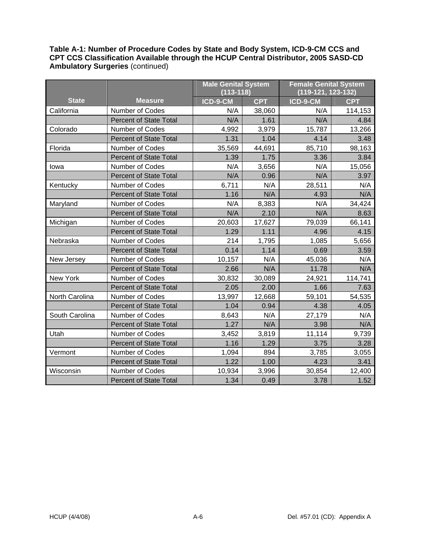|                |                               | <b>Male Genital System</b> |            | <b>Female Genital System</b> |            |
|----------------|-------------------------------|----------------------------|------------|------------------------------|------------|
|                |                               | $(113 - 118)$              |            | (119-121, 123-132)           |            |
| <b>State</b>   | <b>Measure</b>                | ICD-9-CM                   | <b>CPT</b> | ICD-9-CM                     | <b>CPT</b> |
| California     | Number of Codes               | N/A                        | 38,060     | N/A                          | 114,153    |
|                | <b>Percent of State Total</b> | N/A                        | 1.61       | N/A                          | 4.84       |
| Colorado       | <b>Number of Codes</b>        | 4,992                      | 3,979      | 15,787                       | 13,266     |
|                | <b>Percent of State Total</b> | 1.31                       | 1.04       | 4.14                         | 3.48       |
| Florida        | Number of Codes               | 35,569                     | 44,691     | 85,710                       | 98,163     |
|                | <b>Percent of State Total</b> | 1.39                       | 1.75       | 3.36                         | 3.84       |
| lowa           | Number of Codes               | N/A                        | 3,656      | N/A                          | 15,056     |
|                | <b>Percent of State Total</b> | N/A                        | 0.96       | N/A                          | 3.97       |
| Kentucky       | Number of Codes               | 6,711                      | N/A        | 28,511                       | N/A        |
|                | <b>Percent of State Total</b> | 1.16                       | N/A        | 4.93                         | N/A        |
| Maryland       | Number of Codes               | N/A                        | 8,383      | N/A                          | 34,424     |
|                | <b>Percent of State Total</b> | N/A                        | 2.10       | N/A                          | 8.63       |
| Michigan       | Number of Codes               | 20,603                     | 17,627     | 79,039                       | 66,141     |
|                | <b>Percent of State Total</b> | 1.29                       | 1.11       | 4.96                         | 4.15       |
| Nebraska       | Number of Codes               | 214                        | 1,795      | 1,085                        | 5,656      |
|                | <b>Percent of State Total</b> | 0.14                       | 1.14       | 0.69                         | 3.59       |
| New Jersey     | Number of Codes               | 10,157                     | N/A        | 45,036                       | N/A        |
|                | <b>Percent of State Total</b> | 2.66                       | N/A        | 11.78                        | N/A        |
| New York       | Number of Codes               | 30,832                     | 30,089     | 24,921                       | 114,741    |
|                | <b>Percent of State Total</b> | 2.05                       | 2.00       | 1.66                         | 7.63       |
| North Carolina | Number of Codes               | 13,997                     | 12,668     | 59,101                       | 54,535     |
|                | <b>Percent of State Total</b> | 1.04                       | 0.94       | 4.38                         | 4.05       |
| South Carolina | Number of Codes               | 8,643                      | N/A        | 27,179                       | N/A        |
|                | <b>Percent of State Total</b> | 1.27                       | N/A        | 3.98                         | N/A        |
| Utah           | <b>Number of Codes</b>        | 3,452                      | 3,819      | 11,114                       | 9,739      |
|                | <b>Percent of State Total</b> | 1.16                       | 1.29       | 3.75                         | 3.28       |
| Vermont        | Number of Codes               | 1,094                      | 894        | 3,785                        | 3,055      |
|                | <b>Percent of State Total</b> | 1.22                       | 1.00       | 4.23                         | 3.41       |
| Wisconsin      | Number of Codes               | 10,934                     | 3,996      | 30,854                       | 12,400     |
|                | <b>Percent of State Total</b> | 1.34                       | 0.49       | 3.78                         | 1.52       |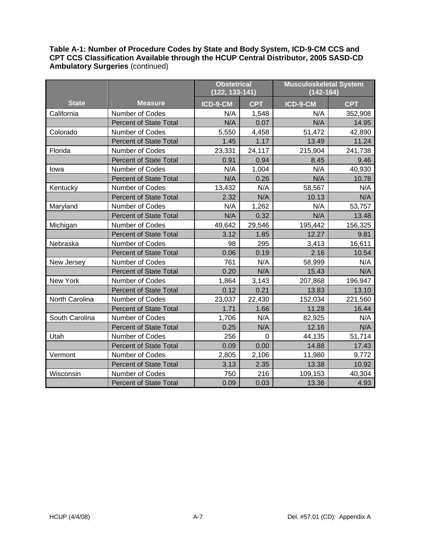|                |                               | <b>Obstetrical</b><br>(122, 133-141) |                | <b>Musculoskeletal System</b><br>$(142 - 164)$ |            |
|----------------|-------------------------------|--------------------------------------|----------------|------------------------------------------------|------------|
| <b>State</b>   | <b>Measure</b>                | ICD-9-CM                             | <b>CPT</b>     | ICD-9-CM                                       | <b>CPT</b> |
| California     | <b>Number of Codes</b>        | N/A                                  | 1,548          | N/A                                            | 352,908    |
|                | <b>Percent of State Total</b> | N/A                                  | 0.07           | N/A                                            | 14.95      |
| Colorado       | Number of Codes               | 5,550                                | 4,458          | 51,472                                         | 42,890     |
|                | <b>Percent of State Total</b> | 1.45                                 | 1.17           | 13.49                                          | 11.24      |
| Florida        | Number of Codes               | 23,331                               | 24,117         | 215,904                                        | 241,738    |
|                | <b>Percent of State Total</b> | 0.91                                 | 0.94           | 8.45                                           | 9.46       |
| lowa           | Number of Codes               | N/A                                  | 1,004          | N/A                                            | 40,930     |
|                | <b>Percent of State Total</b> | N/A                                  | 0.26           | N/A                                            | 10.78      |
| Kentucky       | Number of Codes               | 13,432                               | N/A            | 58,567                                         | N/A        |
|                | <b>Percent of State Total</b> | 2.32                                 | N/A            | 10.13                                          | N/A        |
| Maryland       | Number of Codes               | N/A                                  | 1,262          | N/A                                            | 53,757     |
|                | <b>Percent of State Total</b> | N/A                                  | 0.32           | N/A                                            | 13.48      |
| Michigan       | Number of Codes               | 49,642                               | 29,546         | 195,442                                        | 156,325    |
|                | <b>Percent of State Total</b> | 3.12                                 | 1.85           | 12.27                                          | 9.81       |
| Nebraska       | Number of Codes               | 98                                   | 295            | 3,413                                          | 16,611     |
|                | <b>Percent of State Total</b> | 0.06                                 | 0.19           | 2.16                                           | 10.54      |
| New Jersey     | Number of Codes               | 761                                  | N/A            | 58,999                                         | N/A        |
|                | <b>Percent of State Total</b> | 0.20                                 | N/A            | 15.43                                          | N/A        |
| New York       | Number of Codes               | 1,864                                | 3,143          | 207,868                                        | 196,947    |
|                | <b>Percent of State Total</b> | 0.12                                 | 0.21           | 13.83                                          | 13.10      |
| North Carolina | Number of Codes               | 23,037                               | 22,430         | 152,034                                        | 221,560    |
|                | <b>Percent of State Total</b> | 1.71                                 | 1.66           | 11.28                                          | 16.44      |
| South Carolina | Number of Codes               | 1,706                                | N/A            | 82,925                                         | N/A        |
|                | <b>Percent of State Total</b> | 0.25                                 | N/A            | 12.16                                          | N/A        |
| Utah           | Number of Codes               | 256                                  | $\overline{0}$ | 44,135                                         | 51,714     |
|                | <b>Percent of State Total</b> | 0.09                                 | 0.00           | 14.88                                          | 17.43      |
| Vermont        | Number of Codes               | 2,805                                | 2,106          | 11,980                                         | 9,772      |
|                | <b>Percent of State Total</b> | 3.13                                 | 2.35           | 13.38                                          | 10.92      |
| Wisconsin      | Number of Codes               | 750                                  | 216            | 109,153                                        | 40,304     |
|                | <b>Percent of State Total</b> | 0.09                                 | 0.03           | 13.36                                          | 4.93       |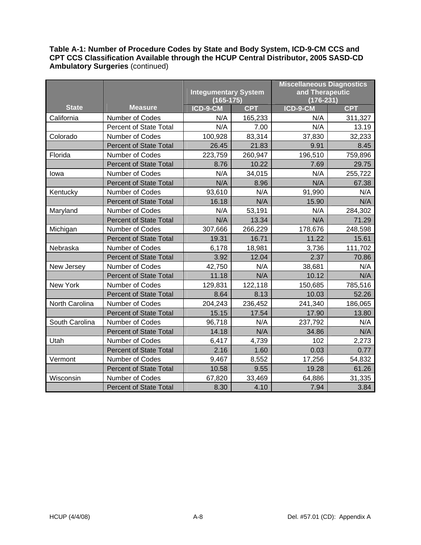|                |                               |                             |            | <b>Miscellaneous Diagnostics</b> |            |
|----------------|-------------------------------|-----------------------------|------------|----------------------------------|------------|
|                |                               | <b>Integumentary System</b> |            | and Therapeutic                  |            |
|                |                               | $(165 - 175)$               |            | $(176-231)$                      |            |
| <b>State</b>   | <b>Measure</b>                | ICD-9-CM                    | <b>CPT</b> | $ICD-9-CM$                       | <b>CPT</b> |
| California     | Number of Codes               | N/A                         | 165,233    | N/A                              | 311,327    |
|                | Percent of State Total        | N/A                         | 7.00       | N/A                              | 13.19      |
| Colorado       | Number of Codes               | 100,928                     | 83,314     | 37,830                           | 32,233     |
|                | <b>Percent of State Total</b> | 26.45                       | 21.83      | 9.91                             | 8.45       |
| Florida        | Number of Codes               | 223,759                     | 260,947    | 196,510                          | 759,896    |
|                | <b>Percent of State Total</b> | 8.76                        | 10.22      | 7.69                             | 29.75      |
| lowa           | Number of Codes               | N/A                         | 34,015     | N/A                              | 255,722    |
|                | <b>Percent of State Total</b> | N/A                         | 8.96       | N/A                              | 67.38      |
| Kentucky       | Number of Codes               | 93,610                      | N/A        | 91,990                           | N/A        |
|                | <b>Percent of State Total</b> | 16.18                       | N/A        | 15.90                            | N/A        |
| Maryland       | Number of Codes               | N/A                         | 53,191     | N/A                              | 284,302    |
|                | <b>Percent of State Total</b> | N/A                         | 13.34      | N/A                              | 71.29      |
| Michigan       | Number of Codes               | 307,666                     | 266,229    | 178,676                          | 248,598    |
|                | <b>Percent of State Total</b> | 19.31                       | 16.71      | 11.22                            | 15.61      |
| Nebraska       | Number of Codes               | 6,178                       | 18,981     | 3,736                            | 111,702    |
|                | <b>Percent of State Total</b> | 3.92                        | 12.04      | 2.37                             | 70.86      |
| New Jersey     | Number of Codes               | 42,750                      | N/A        | 38,681                           | N/A        |
|                | <b>Percent of State Total</b> | 11.18                       | N/A        | 10.12                            | N/A        |
| New York       | Number of Codes               | 129,831                     | 122,118    | 150,685                          | 785,516    |
|                | <b>Percent of State Total</b> | 8.64                        | 8.13       | 10.03                            | 52.26      |
| North Carolina | Number of Codes               | 204,243                     | 236,452    | 241,340                          | 186,065    |
|                | <b>Percent of State Total</b> | 15.15                       | 17.54      | 17.90                            | 13.80      |
| South Carolina | Number of Codes               | 96,718                      | N/A        | 237,792                          | N/A        |
|                | <b>Percent of State Total</b> | 14.18                       | N/A        | 34.86                            | N/A        |
| Utah           | Number of Codes               | 6,417                       | 4,739      | 102                              | 2,273      |
|                | <b>Percent of State Total</b> | 2.16                        | 1.60       | 0.03                             | 0.77       |
| Vermont        | Number of Codes               | 9,467                       | 8,552      | 17,256                           | 54,832     |
|                | <b>Percent of State Total</b> | 10.58                       | 9.55       | 19.28                            | 61.26      |
| Wisconsin      | Number of Codes               | 67,820                      | 33,469     | 64,886                           | 31,335     |
|                | <b>Percent of State Total</b> | 8.30                        | 4.10       | 7.94                             | 3.84       |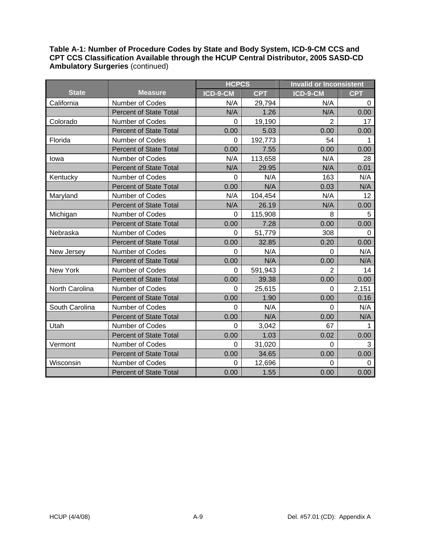|                |                               | <b>HCPCS</b> |            | <b>Invalid or Inconsistent</b> |            |
|----------------|-------------------------------|--------------|------------|--------------------------------|------------|
| <b>State</b>   | <b>Measure</b>                | ICD-9-CM     | <b>CPT</b> | ICD-9-CM                       | <b>CPT</b> |
| California     | <b>Number of Codes</b>        | N/A          | 29,794     | N/A                            | $\Omega$   |
|                | <b>Percent of State Total</b> | N/A          | 1.26       | N/A                            | 0.00       |
| Colorado       | Number of Codes               | $\mathbf 0$  | 19,190     | $\overline{2}$                 | 17         |
|                | <b>Percent of State Total</b> | 0.00         | 5.03       | 0.00                           | 0.00       |
| Florida        | <b>Number of Codes</b>        | $\Omega$     | 192,773    | 54                             |            |
|                | <b>Percent of State Total</b> | 0.00         | 7.55       | 0.00                           | 0.00       |
| lowa           | <b>Number of Codes</b>        | N/A          | 113,658    | N/A                            | 28         |
|                | <b>Percent of State Total</b> | N/A          | 29.95      | N/A                            | 0.01       |
| Kentucky       | Number of Codes               | $\mathbf 0$  | N/A        | 163                            | N/A        |
|                | <b>Percent of State Total</b> | 0.00         | N/A        | 0.03                           | N/A        |
| Maryland       | <b>Number of Codes</b>        | N/A          | 104,454    | N/A                            | 12         |
|                | <b>Percent of State Total</b> | N/A          | 26.19      | N/A                            | 0.00       |
| Michigan       | Number of Codes               | 0            | 115,908    | 8                              | 5          |
|                | <b>Percent of State Total</b> | 0.00         | 7.28       | 0.00                           | 0.00       |
| Nebraska       | <b>Number of Codes</b>        | 0            | 51,779     | 308                            | $\Omega$   |
|                | <b>Percent of State Total</b> | 0.00         | 32.85      | 0.20                           | 0.00       |
| New Jersey     | Number of Codes               | $\Omega$     | N/A        | $\overline{0}$                 | N/A        |
|                | <b>Percent of State Total</b> | 0.00         | N/A        | 0.00                           | N/A        |
| New York       | <b>Number of Codes</b>        | $\Omega$     | 591,943    | $\overline{2}$                 | 14         |
|                | <b>Percent of State Total</b> | 0.00         | 39.38      | 0.00                           | 0.00       |
| North Carolina | Number of Codes               | $\Omega$     | 25,615     | $\Omega$                       | 2,151      |
|                | <b>Percent of State Total</b> | 0.00         | 1.90       | 0.00                           | 0.16       |
| South Carolina | Number of Codes               | $\Omega$     | N/A        | 0                              | N/A        |
|                | <b>Percent of State Total</b> | 0.00         | N/A        | 0.00                           | N/A        |
| Utah           | Number of Codes               | 0            | 3,042      | 67                             | 1.         |
|                | <b>Percent of State Total</b> | 0.00         | 1.03       | 0.02                           | 0.00       |
| Vermont        | Number of Codes               | 0            | 31,020     | $\overline{0}$                 | 3          |
|                | <b>Percent of State Total</b> | 0.00         | 34.65      | 0.00                           | 0.00       |
| Wisconsin      | Number of Codes               | $\Omega$     | 12,696     | $\Omega$                       | 0          |
|                | <b>Percent of State Total</b> | 0.00         | 1.55       | 0.00                           | 0.00       |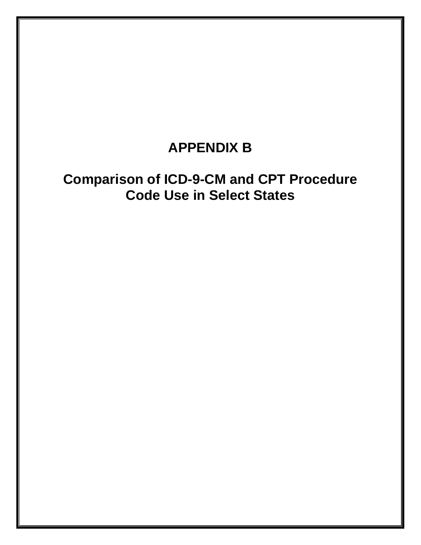### **APPENDIX B**

## **Comparison of ICD-9-CM and CPT Procedure Code Use in Select States**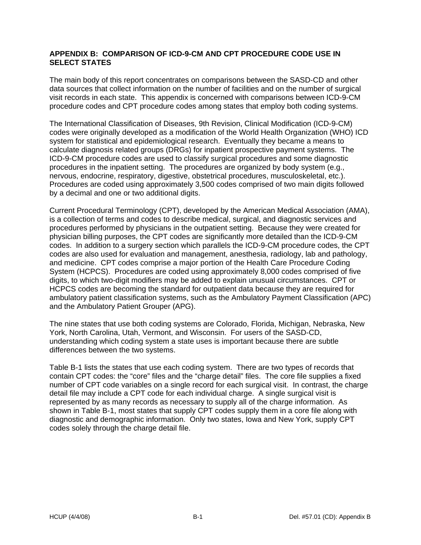#### **APPENDIX B: COMPARISON OF ICD-9-CM AND CPT PROCEDURE CODE USE IN SELECT STATES**

The main body of this report concentrates on comparisons between the SASD-CD and other data sources that collect information on the number of facilities and on the number of surgical visit records in each state. This appendix is concerned with comparisons between ICD-9-CM procedure codes and CPT procedure codes among states that employ both coding systems.

The International Classification of Diseases, 9th Revision, Clinical Modification (ICD-9-CM) codes were originally developed as a modification of the World Health Organization (WHO) ICD system for statistical and epidemiological research. Eventually they became a means to calculate diagnosis related groups (DRGs) for inpatient prospective payment systems. The ICD-9-CM procedure codes are used to classify surgical procedures and some diagnostic procedures in the inpatient setting. The procedures are organized by body system (e.g., nervous, endocrine, respiratory, digestive, obstetrical procedures, musculoskeletal, etc.). Procedures are coded using approximately 3,500 codes comprised of two main digits followed by a decimal and one or two additional digits.

Current Procedural Terminology (CPT), developed by the American Medical Association (AMA), is a collection of terms and codes to describe medical, surgical, and diagnostic services and procedures performed by physicians in the outpatient setting. Because they were created for physician billing purposes, the CPT codes are significantly more detailed than the ICD-9-CM codes. In addition to a surgery section which parallels the ICD-9-CM procedure codes, the CPT codes are also used for evaluation and management, anesthesia, radiology, lab and pathology, and medicine. CPT codes comprise a major portion of the Health Care Procedure Coding System (HCPCS). Procedures are coded using approximately 8,000 codes comprised of five digits, to which two-digit modifiers may be added to explain unusual circumstances. CPT or HCPCS codes are becoming the standard for outpatient data because they are required for ambulatory patient classification systems, such as the Ambulatory Payment Classification (APC) and the Ambulatory Patient Grouper (APG).

The nine states that use both coding systems are Colorado, Florida, Michigan, Nebraska, New York, North Carolina, Utah, Vermont, and Wisconsin. For users of the SASD-CD, understanding which coding system a state uses is important because there are subtle differences between the two systems.

Table B-1 lists the states that use each coding system. There are two types of records that contain CPT codes: the "core" files and the "charge detail" files. The core file supplies a fixed number of CPT code variables on a single record for each surgical visit. In contrast, the charge detail file may include a CPT code for each individual charge. A single surgical visit is represented by as many records as necessary to supply all of the charge information. As shown in Table B-1, most states that supply CPT codes supply them in a core file along with diagnostic and demographic information. Only two states, Iowa and New York, supply CPT codes solely through the charge detail file.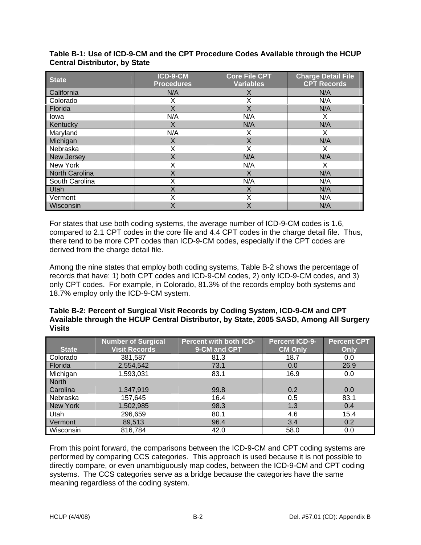| <b>State</b>          | ICD-9-CM<br><b>Procedures</b> | <b>Core File CPT</b><br><b>Variables</b> | <b>Charge Detail File</b><br><b>CPT Records</b> |
|-----------------------|-------------------------------|------------------------------------------|-------------------------------------------------|
| California            | N/A                           | X                                        | N/A                                             |
| Colorado              | х                             | X                                        | N/A                                             |
| Florida               | X                             | X                                        | N/A                                             |
| Iowa                  | N/A                           | N/A                                      | X                                               |
| Kentucky              | X                             | N/A                                      | N/A                                             |
| Maryland              | N/A                           | Х                                        | х                                               |
| Michigan              | X                             | X                                        | N/A                                             |
| Nebraska              | X                             | X                                        | х                                               |
| New Jersey            | X                             | N/A                                      | N/A                                             |
| New York              | Χ                             | N/A                                      | X                                               |
| <b>North Carolina</b> | Χ                             | X                                        | N/A                                             |
| South Carolina        | Χ                             | N/A                                      | N/A                                             |
| Utah                  | Χ                             | X                                        | N/A                                             |
| Vermont               | Χ                             | Χ                                        | N/A                                             |
| Wisconsin             | X                             | X                                        | N/A                                             |

**Table B-1: Use of ICD-9-CM and the CPT Procedure Codes Available through the HCUP Central Distributor, by State** 

For states that use both coding systems, the average number of ICD-9-CM codes is 1.6, compared to 2.1 CPT codes in the core file and 4.4 CPT codes in the charge detail file. Thus, there tend to be more CPT codes than ICD-9-CM codes, especially if the CPT codes are derived from the charge detail file.

Among the nine states that employ both coding systems, Table B-2 shows the percentage of records that have: 1) both CPT codes and ICD-9-CM codes, 2) only ICD-9-CM codes, and 3) only CPT codes. For example, in Colorado, 81.3% of the records employ both systems and 18.7% employ only the ICD-9-CM system.

#### **Table B-2: Percent of Surgical Visit Records by Coding System, ICD-9-CM and CPT Available through the HCUP Central Distributor, by State, 2005 SASD, Among All Surgery Visits**

|                 | <b>Number of Surgical</b> | <b>Percent with both ICD-</b> | <b>Percent ICD-9-</b> | <b>Percent CPT</b> |
|-----------------|---------------------------|-------------------------------|-----------------------|--------------------|
| <b>State</b>    | <b>Visit Records</b>      | 9-CM and CPT                  | <b>CM Only</b>        | Only               |
| Colorado        | 381,587                   | 81.3                          | 18.7                  | 0.0                |
| Florida         | 2,554,542                 | 73.1                          | 0.0                   | 26.9               |
| Michigan        | 1,593,031                 | 83.1                          | 16.9                  | 0.0                |
| <b>North</b>    |                           |                               |                       |                    |
| Carolina        | 1,347,919                 | 99.8                          | 0.2                   | 0.0                |
| Nebraska        | 157,645                   | 16.4                          | 0.5                   | 83.1               |
| <b>New York</b> | 1,502,985                 | 98.3                          | 1.3                   | 0.4                |
| Utah            | 296,659                   | 80.1                          | 4.6                   | 15.4               |
| Vermont         | 89,513                    | 96.4                          | 3.4                   | 0.2                |
| Wisconsin       | 816,784                   | 42.0                          | 58.0                  | 0.0                |

From this point forward, the comparisons between the ICD-9-CM and CPT coding systems are performed by comparing CCS categories. This approach is used because it is not possible to directly compare, or even unambiguously map codes, between the ICD-9-CM and CPT coding systems. The CCS categories serve as a bridge because the categories have the same meaning regardless of the coding system.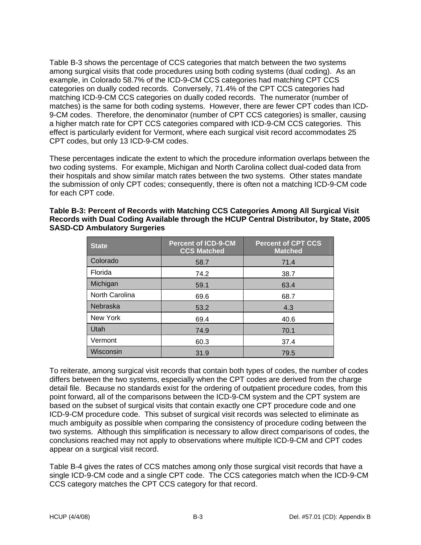Table B-3 shows the percentage of CCS categories that match between the two systems among surgical visits that code procedures using both coding systems (dual coding). As an example, in Colorado 58.7% of the ICD-9-CM CCS categories had matching CPT CCS categories on dually coded records. Conversely, 71.4% of the CPT CCS categories had matching ICD-9-CM CCS categories on dually coded records. The numerator (number of matches) is the same for both coding systems. However, there are fewer CPT codes than ICD-9-CM codes. Therefore, the denominator (number of CPT CCS categories) is smaller, causing a higher match rate for CPT CCS categories compared with ICD-9-CM CCS categories. This effect is particularly evident for Vermont, where each surgical visit record accommodates 25 CPT codes, but only 13 ICD-9-CM codes.

These percentages indicate the extent to which the procedure information overlaps between the two coding systems. For example, Michigan and North Carolina collect dual-coded data from their hospitals and show similar match rates between the two systems. Other states mandate the submission of only CPT codes; consequently, there is often not a matching ICD-9-CM code for each CPT code.

| <b>State</b>   | <b>Percent of ICD-9-CM</b><br><b>CCS Matched</b> | <b>Percent of CPT CCS</b><br><b>Matched</b> |
|----------------|--------------------------------------------------|---------------------------------------------|
| Colorado       | 58.7                                             | 71.4                                        |
| Florida        | 74.2                                             | 38.7                                        |
| Michigan       | 59.1                                             | 63.4                                        |
| North Carolina | 69.6                                             | 68.7                                        |
| Nebraska       | 53.2                                             | 4.3                                         |
| New York       | 69.4                                             | 40.6                                        |
| Utah           | 74.9                                             | 70.1                                        |
| Vermont        | 60.3                                             | 37.4                                        |
| Wisconsin      | 31.9                                             | 79.5                                        |

| Table B-3: Percent of Records with Matching CCS Categories Among All Surgical Visit     |
|-----------------------------------------------------------------------------------------|
| Records with Dual Coding Available through the HCUP Central Distributor, by State, 2005 |
| <b>SASD-CD Ambulatory Surgeries</b>                                                     |

To reiterate, among surgical visit records that contain both types of codes, the number of codes differs between the two systems, especially when the CPT codes are derived from the charge detail file. Because no standards exist for the ordering of outpatient procedure codes*,* from this point forward, all of the comparisons between the ICD-9-CM system and the CPT system are based on the subset of surgical visits that contain exactly one CPT procedure code and one ICD-9-CM procedure code. This subset of surgical visit records was selected to eliminate as much ambiguity as possible when comparing the consistency of procedure coding between the two systems. Although this simplification is necessary to allow direct comparisons of codes, the conclusions reached may not apply to observations where multiple ICD-9-CM and CPT codes appear on a surgical visit record.

Table B-4 gives the rates of CCS matches among only those surgical visit records that have a single ICD-9-CM code and a single CPT code. The CCS categories match when the ICD-9-CM CCS category matches the CPT CCS category for that record.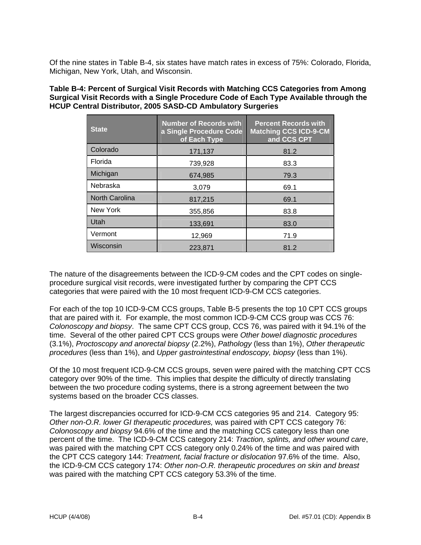Of the nine states in Table B-4, six states have match rates in excess of 75%: Colorado, Florida, Michigan, New York, Utah, and Wisconsin.

**Table B-4: Percent of Surgical Visit Records with Matching CCS Categories from Among Surgical Visit Records with a Single Procedure Code of Each Type Available through the HCUP Central Distributor, 2005 SASD-CD Ambulatory Surgeries** 

| <b>State</b>          | <b>Number of Records with</b><br>a Single Procedure Code<br>of Each Type | <b>Percent Records with</b><br><b>Matching CCS ICD-9-CM</b><br>and CCS CPT |
|-----------------------|--------------------------------------------------------------------------|----------------------------------------------------------------------------|
| Colorado              | 171,137                                                                  | 81.2                                                                       |
| Florida               | 739,928                                                                  | 83.3                                                                       |
| Michigan              | 674,985                                                                  | 79.3                                                                       |
| Nebraska              | 3,079                                                                    | 69.1                                                                       |
| <b>North Carolina</b> | 817,215                                                                  | 69.1                                                                       |
| New York              | 355,856                                                                  | 83.8                                                                       |
| Utah                  | 133,691                                                                  | 83.0                                                                       |
| Vermont               | 12,969                                                                   | 71.9                                                                       |
| Wisconsin             | 223.871                                                                  | 81.2                                                                       |

The nature of the disagreements between the ICD-9-CM codes and the CPT codes on singleprocedure surgical visit records, were investigated further by comparing the CPT CCS categories that were paired with the 10 most frequent ICD-9-CM CCS categories.

For each of the top 10 ICD-9-CM CCS groups, Table B-5 presents the top 10 CPT CCS groups that are paired with it. For example, the most common ICD-9-CM CCS group was CCS 76: *Colonoscopy and biopsy*. The same CPT CCS group, CCS 76, was paired with it 94.1% of the time. Several of the other paired CPT CCS groups were *Other bowel diagnostic procedures* (3.1%), *Proctoscopy and anorectal biopsy* (2.2%), *Pathology* (less than 1%), *Other therapeutic procedures* (less than 1%), and *Upper gastrointestinal endoscopy, biopsy* (less than 1%).

Of the 10 most frequent ICD-9-CM CCS groups, seven were paired with the matching CPT CCS category over 90% of the time. This implies that despite the difficulty of directly translating between the two procedure coding systems, there is a strong agreement between the two systems based on the broader CCS classes.

The largest discrepancies occurred for ICD-9-CM CCS categories 95 and 214. Category 95: *Other non-O.R. lower GI therapeutic procedures,* was paired with CPT CCS category 76: *Colonoscopy and biopsy* 94.6% of the time and the matching CCS category less than one percent of the time. The ICD-9-CM CCS category 214: *Traction, splints, and other wound care*, was paired with the matching CPT CCS category only 0.24% of the time and was paired with the CPT CCS category 144: *Treatment, facial fracture or dislocation* 97.6% of the time. Also, the ICD-9-CM CCS category 174: *Other non-O.R. therapeutic procedures on skin and breast* was paired with the matching CPT CCS category 53.3% of the time.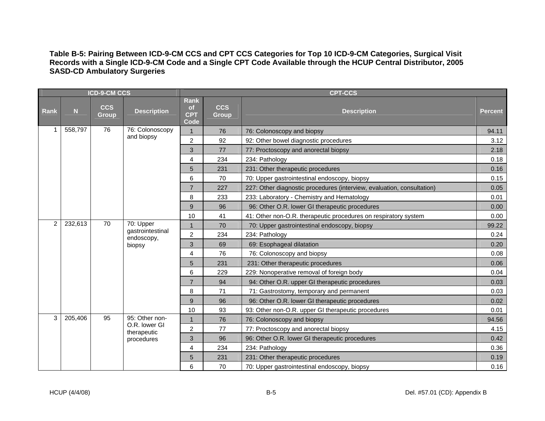#### **Table B-5: Pairing Between ICD-9-CM CCS and CPT CCS Categories for Top 10 ICD-9-CM Categories, Surgical Visit Records with a Single ICD-9-CM Code and a Single CPT Code Available through the HCUP Central Distributor, 2005 SASD-CD Ambulatory Surgeries**

| <b>ICD-9-CM CCS</b> |         |                            |                                 |                                         | <b>CPT-CCS</b>             |                                                                        |         |  |  |  |
|---------------------|---------|----------------------------|---------------------------------|-----------------------------------------|----------------------------|------------------------------------------------------------------------|---------|--|--|--|
| <b>Rank</b>         | N.      | <b>CCS</b><br><b>Group</b> | <b>Description</b>              | Rank<br><b>of</b><br><b>CPT</b><br>Code | <b>CCS</b><br><b>Group</b> | <b>Description</b>                                                     | Percent |  |  |  |
|                     | 558,797 | 76                         | 76: Colonoscopy                 | $\mathbf{1}$                            | 76                         | 76: Colonoscopy and biopsy                                             | 94.11   |  |  |  |
|                     |         |                            | and biopsy                      | $\overline{2}$                          | 92                         | 92: Other bowel diagnostic procedures                                  | 3.12    |  |  |  |
|                     |         |                            |                                 | 3                                       | 77                         | 77: Proctoscopy and anorectal biopsy                                   | 2.18    |  |  |  |
|                     |         |                            |                                 | 4                                       | 234                        | 234: Pathology                                                         | 0.18    |  |  |  |
|                     |         |                            |                                 | 5                                       | 231                        | 231: Other therapeutic procedures                                      | 0.16    |  |  |  |
|                     |         |                            |                                 | 6                                       | 70                         | 70: Upper gastrointestinal endoscopy, biopsy                           | 0.15    |  |  |  |
|                     |         |                            |                                 | $\overline{7}$                          | 227                        | 227: Other diagnostic procedures (interview, evaluation, consultation) | 0.05    |  |  |  |
|                     |         |                            |                                 | 8                                       | 233                        | 233: Laboratory - Chemistry and Hematology                             | 0.01    |  |  |  |
|                     |         |                            |                                 | 9                                       | 96                         | 96: Other O.R. lower GI therapeutic procedures                         | 0.00    |  |  |  |
|                     |         |                            |                                 | 10                                      | 41                         | 41: Other non-O.R. therapeutic procedures on respiratory system        | 0.00    |  |  |  |
| $2^{\circ}$         | 232,613 | 70                         | 70: Upper                       | $\mathbf{1}$                            | 70                         | 70: Upper gastrointestinal endoscopy, biopsy                           | 99.22   |  |  |  |
|                     |         |                            | gastrointestinal<br>endoscopy,  | $\overline{c}$                          | 234                        | 234: Pathology                                                         | 0.24    |  |  |  |
|                     |         |                            | biopsy                          | 3                                       | 69                         | 69: Esophageal dilatation                                              | 0.20    |  |  |  |
|                     |         |                            |                                 | 4                                       | 76                         | 76: Colonoscopy and biopsy                                             | 0.08    |  |  |  |
|                     |         |                            |                                 | 5                                       | 231                        | 231: Other therapeutic procedures                                      | 0.06    |  |  |  |
|                     |         |                            |                                 | 6                                       | 229                        | 229: Nonoperative removal of foreign body                              | 0.04    |  |  |  |
|                     |         |                            |                                 | $\overline{7}$                          | 94                         | 94: Other O.R. upper GI therapeutic procedures                         | 0.03    |  |  |  |
|                     |         |                            |                                 | 8                                       | 71                         | 71: Gastrostomy, temporary and permanent                               | 0.03    |  |  |  |
|                     |         |                            |                                 | 9                                       | 96                         | 96: Other O.R. lower GI therapeutic procedures                         | 0.02    |  |  |  |
|                     |         |                            |                                 | 10                                      | 93                         | 93: Other non-O.R. upper GI therapeutic procedures                     | 0.01    |  |  |  |
| 3                   | 205,406 | 95                         | 95: Other non-<br>O.R. lower GI | $\mathbf{1}$                            | 76                         | 76: Colonoscopy and biopsy                                             | 94.56   |  |  |  |
|                     |         |                            | therapeutic                     | $\overline{\mathbf{c}}$                 | 77                         | 77: Proctoscopy and anorectal biopsy                                   | 4.15    |  |  |  |
|                     |         |                            | procedures                      | 3                                       | 96                         | 96: Other O.R. lower GI therapeutic procedures                         | 0.42    |  |  |  |
|                     |         |                            |                                 | 4                                       | 234                        | 234: Pathology                                                         | 0.36    |  |  |  |
|                     |         |                            |                                 | 5                                       | 231                        | 231: Other therapeutic procedures                                      | 0.19    |  |  |  |
|                     |         |                            |                                 | 6                                       | 70                         | 70: Upper gastrointestinal endoscopy, biopsy                           | 0.16    |  |  |  |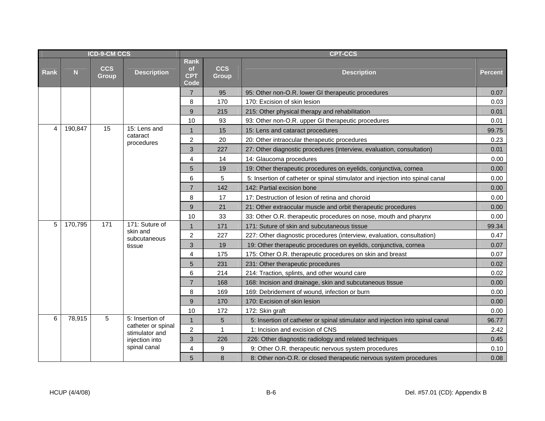| <b>ICD-9-CM CCS</b> |         |                            |                                      |                                         | <b>CPT-CCS</b>             |                                                                               |                |  |  |  |
|---------------------|---------|----------------------------|--------------------------------------|-----------------------------------------|----------------------------|-------------------------------------------------------------------------------|----------------|--|--|--|
| <b>Rank</b>         | N       | <b>CCS</b><br><b>Group</b> | <b>Description</b>                   | Rank<br><b>of</b><br><b>CPT</b><br>Code | <b>CCS</b><br><b>Group</b> | <b>Description</b>                                                            | <b>Percent</b> |  |  |  |
|                     |         |                            |                                      | $\overline{7}$                          | 95                         | 95: Other non-O.R. lower GI therapeutic procedures                            | 0.07           |  |  |  |
|                     |         |                            |                                      | 8                                       | 170                        | 170: Excision of skin lesion                                                  | 0.03           |  |  |  |
|                     |         |                            |                                      | 9                                       | 215                        | 215: Other physical therapy and rehabilitation                                | 0.01           |  |  |  |
|                     |         |                            |                                      | 10                                      | 93                         | 93: Other non-O.R. upper GI therapeutic procedures                            | 0.01           |  |  |  |
| 4                   | 190,847 | 15                         | 15: Lens and                         | 1                                       | 15                         | 15: Lens and cataract procedures                                              | 99.75          |  |  |  |
|                     |         |                            | cataract<br>procedures               | 2                                       | 20                         | 20: Other intraocular therapeutic procedures                                  | 0.23           |  |  |  |
|                     |         |                            |                                      | $\mathfrak{B}$                          | 227                        | 27: Other diagnostic procedures (interview, evaluation, consultation)         | 0.01           |  |  |  |
|                     |         |                            |                                      | 4                                       | 14                         | 14: Glaucoma procedures                                                       | 0.00           |  |  |  |
|                     |         |                            |                                      | 5                                       | 19                         | 19: Other therapeutic procedures on eyelids, conjunctiva, cornea              | 0.00           |  |  |  |
|                     |         |                            |                                      | 6                                       | 5                          | 5: Insertion of catheter or spinal stimulator and injection into spinal canal | 0.00           |  |  |  |
|                     |         |                            |                                      | $\overline{7}$                          | 142                        | 142: Partial excision bone                                                    | 0.00           |  |  |  |
|                     |         |                            |                                      | 8                                       | 17                         | 17: Destruction of lesion of retina and choroid                               | 0.00           |  |  |  |
|                     |         |                            |                                      | 9                                       | 21                         | 21: Other extraocular muscle and orbit therapeutic procedures                 | 0.00           |  |  |  |
|                     |         |                            |                                      | 10                                      | 33                         | 33: Other O.R. therapeutic procedures on nose, mouth and pharynx              | 0.00           |  |  |  |
| 5                   | 170,795 | 171                        | 171: Suture of                       | 1                                       | 171                        | 171: Suture of skin and subcutaneous tissue                                   | 99.34          |  |  |  |
|                     |         |                            | skin and<br>subcutaneous             | $\overline{c}$                          | 227                        | 227: Other diagnostic procedures (interview, evaluation, consultation)        | 0.47           |  |  |  |
|                     |         |                            | tissue                               | 3                                       | 19                         | 19: Other therapeutic procedures on eyelids, conjunctiva, cornea              | 0.07           |  |  |  |
|                     |         |                            |                                      | $\overline{4}$                          | 175                        | 175: Other O.R. therapeutic procedures on skin and breast                     | 0.07           |  |  |  |
|                     |         |                            |                                      | $5\phantom{.0}$                         | 231                        | 231: Other therapeutic procedures                                             | 0.02           |  |  |  |
|                     |         |                            |                                      | 6                                       | 214                        | 214: Traction, splints, and other wound care                                  | 0.02           |  |  |  |
|                     |         |                            |                                      | $\overline{7}$                          | 168                        | 168: Incision and drainage, skin and subcutaneous tissue                      | 0.00           |  |  |  |
|                     |         |                            |                                      | 8                                       | 169                        | 169: Debridement of wound, infection or burn                                  | 0.00           |  |  |  |
|                     |         |                            |                                      | 9                                       | 170                        | 170: Excision of skin lesion                                                  | 0.00           |  |  |  |
|                     |         |                            |                                      | 10                                      | 172                        | 172: Skin graft                                                               | 0.00           |  |  |  |
| 6                   | 78,915  | 5                          | 5: Insertion of                      | $\mathbf{1}$                            | 5                          | 5: Insertion of catheter or spinal stimulator and injection into spinal canal | 96.77          |  |  |  |
|                     |         |                            | catheter or spinal<br>stimulator and | $\overline{2}$                          | $\mathbf{1}$               | 1: Incision and excision of CNS                                               | 2.42           |  |  |  |
|                     |         |                            | injection into                       | 3                                       | 226                        | 226: Other diagnostic radiology and related techniques                        | 0.45           |  |  |  |
|                     |         |                            | spinal canal                         | 4                                       | 9                          | 9: Other O.R. therapeutic nervous system procedures                           | 0.10           |  |  |  |
|                     |         |                            |                                      | 5                                       | 8                          | 8: Other non-O.R. or closed therapeutic nervous system procedures             | 0.08           |  |  |  |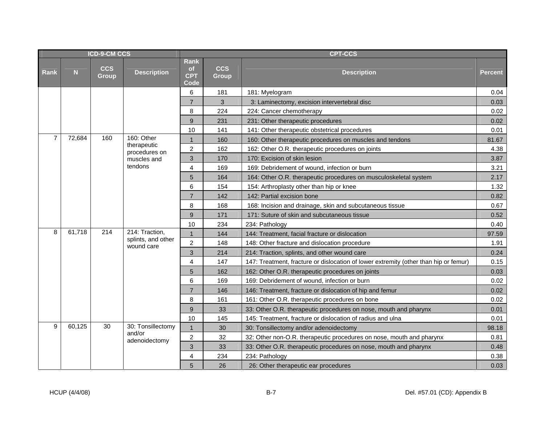| <b>ICD-9-CM CCS</b> |                |                            |                                  | <b>CPT-CCS</b>                          |                            |                                                                                      |                |  |  |  |
|---------------------|----------------|----------------------------|----------------------------------|-----------------------------------------|----------------------------|--------------------------------------------------------------------------------------|----------------|--|--|--|
| Rank                | N <sub>1</sub> | <b>CCS</b><br><b>Group</b> | <b>Description</b>               | Rank<br><b>of</b><br><b>CPT</b><br>Code | <b>CCS</b><br><b>Group</b> | <b>Description</b>                                                                   | <b>Percent</b> |  |  |  |
|                     |                |                            |                                  | 6                                       | 181                        | 181: Myelogram                                                                       | 0.04           |  |  |  |
|                     |                |                            |                                  | $\overline{7}$                          | 3                          | 3: Laminectomy, excision intervertebral disc                                         | 0.03           |  |  |  |
|                     |                |                            |                                  | 8                                       | 224                        | 224: Cancer chemotherapy                                                             | 0.02           |  |  |  |
|                     |                |                            |                                  | $9\,$                                   | 231                        | 231: Other therapeutic procedures                                                    | 0.02           |  |  |  |
|                     |                |                            |                                  | 10                                      | 141                        | 141: Other therapeutic obstetrical procedures                                        | 0.01           |  |  |  |
| $\overline{7}$      | 72,684         | 160                        | 160: Other                       | $\mathbf{1}$                            | 160                        | 160: Other therapeutic procedures on muscles and tendons                             | 81.67          |  |  |  |
|                     |                |                            | therapeutic<br>procedures on     | $\overline{c}$                          | 162                        | 162: Other O.R. therapeutic procedures on joints                                     | 4.38           |  |  |  |
|                     |                |                            | muscles and                      | 3                                       | 170                        | 170: Excision of skin lesion                                                         | 3.87           |  |  |  |
|                     |                |                            | tendons                          | 4                                       | 169                        | 169: Debridement of wound, infection or burn                                         | 3.21           |  |  |  |
|                     |                |                            |                                  | 5                                       | 164                        | 164: Other O.R. therapeutic procedures on musculoskeletal system                     | 2.17           |  |  |  |
|                     |                |                            |                                  | 6                                       | 154                        | 154: Arthroplasty other than hip or knee                                             | 1.32           |  |  |  |
|                     |                |                            |                                  | $\overline{7}$                          | 142                        | 142: Partial excision bone                                                           | 0.82           |  |  |  |
|                     |                |                            |                                  | 8                                       | 168                        | 168: Incision and drainage, skin and subcutaneous tissue                             | 0.67           |  |  |  |
|                     |                |                            |                                  | 9                                       | 171                        | 171: Suture of skin and subcutaneous tissue                                          | 0.52           |  |  |  |
|                     |                |                            |                                  | 10                                      | 234                        | 234: Pathology                                                                       | 0.40           |  |  |  |
| 8                   | 61,718         | 214                        | 214: Traction,                   | $\mathbf{1}$                            | 144                        | 144: Treatment, facial fracture or dislocation                                       | 97.59          |  |  |  |
|                     |                |                            | splints, and other<br>wound care | $\overline{2}$                          | 148                        | 148: Other fracture and dislocation procedure                                        | 1.91           |  |  |  |
|                     |                |                            |                                  | 3                                       | 214                        | 214: Traction, splints, and other wound care                                         | 0.24           |  |  |  |
|                     |                |                            |                                  | $\overline{4}$                          | 147                        | 147: Treatment, fracture or dislocation of lower extremity (other than hip or femur) | 0.15           |  |  |  |
|                     |                |                            |                                  | 5                                       | 162                        | 162: Other O.R. therapeutic procedures on joints                                     | 0.03           |  |  |  |
|                     |                |                            |                                  | 6                                       | 169                        | 169: Debridement of wound, infection or burn                                         | 0.02           |  |  |  |
|                     |                |                            |                                  | $\overline{7}$                          | 146                        | 146: Treatment, fracture or dislocation of hip and femur                             | 0.02           |  |  |  |
|                     |                |                            |                                  | 8                                       | 161                        | 161: Other O.R. therapeutic procedures on bone                                       | 0.02           |  |  |  |
|                     |                |                            |                                  | 9                                       | 33                         | 33: Other O.R. therapeutic procedures on nose, mouth and pharynx                     | 0.01           |  |  |  |
|                     |                |                            |                                  | 10                                      | 145                        | 145: Treatment, fracture or dislocation of radius and ulna                           | 0.01           |  |  |  |
| 9                   | 60,125         | 30                         | 30: Tonsillectomy                | $\mathbf{1}$                            | 30                         | 30: Tonsillectomy and/or adenoidectomy                                               | 98.18          |  |  |  |
|                     |                |                            | and/or<br>adenoidectomy          | $\overline{2}$                          | 32                         | 32: Other non-O.R. therapeutic procedures on nose, mouth and pharynx                 | 0.81           |  |  |  |
|                     |                |                            |                                  | 3                                       | 33                         | 33: Other O.R. therapeutic procedures on nose, mouth and pharynx                     | 0.48           |  |  |  |
|                     |                |                            |                                  | $\overline{4}$                          | 234                        | 234: Pathology                                                                       | 0.38           |  |  |  |
|                     |                |                            |                                  | 5                                       | 26                         | 26: Other therapeutic ear procedures                                                 | 0.03           |  |  |  |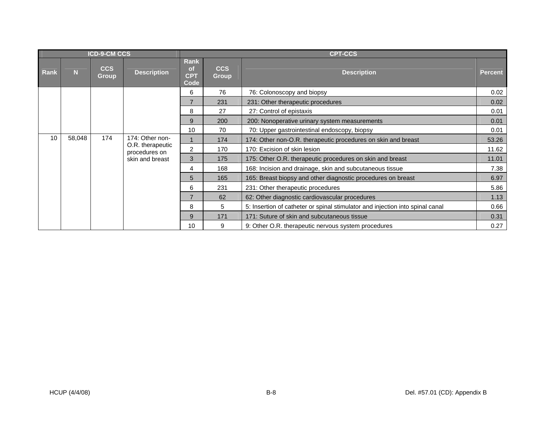|      |        | <b>ICD-9-CM CCS</b>        |                    | <b>CPT-CCS</b>                   |                                   |                                                                               |                                                           |                              |       |
|------|--------|----------------------------|--------------------|----------------------------------|-----------------------------------|-------------------------------------------------------------------------------|-----------------------------------------------------------|------------------------------|-------|
| Rank | N.     | <b>CCS</b><br><b>Group</b> | <b>Description</b> | Rank<br>of<br><b>CPT</b><br>Code | <b>CCS</b><br><b>Group</b>        | <b>Description</b>                                                            | <b>Percent</b>                                            |                              |       |
|      |        |                            |                    | 6                                | 76                                | 76: Colonoscopy and biopsy                                                    | 0.02                                                      |                              |       |
|      |        |                            |                    | $\overline{7}$                   | 231                               | 231: Other therapeutic procedures                                             | 0.02                                                      |                              |       |
|      |        |                            |                    | 8                                | 27                                | 27: Control of epistaxis                                                      | 0.01                                                      |                              |       |
|      |        |                            |                    | 9                                | 200                               | 200: Nonoperative urinary system measurements                                 | 0.01                                                      |                              |       |
|      |        |                            |                    | 10                               | 70                                | 70: Upper gastrointestinal endoscopy, biopsy                                  | 0.01                                                      |                              |       |
| 10   | 58,048 | 174                        | 174: Other non-    |                                  | 174                               | 174: Other non-O.R. therapeutic procedures on skin and breast                 | 53.26                                                     |                              |       |
|      |        |                            |                    |                                  | O.R. therapeutic<br>procedures on | $\overline{c}$                                                                | 170                                                       | 170: Excision of skin lesion | 11.62 |
|      |        |                            |                    | skin and breast                  | 3                                 | 175                                                                           | 175: Other O.R. therapeutic procedures on skin and breast | 11.01                        |       |
|      |        |                            |                    | 4                                | 168                               | 168: Incision and drainage, skin and subcutaneous tissue                      | 7.38                                                      |                              |       |
|      |        |                            |                    | 5                                | 165                               | 165: Breast biopsy and other diagnostic procedures on breast                  | 6.97                                                      |                              |       |
|      |        |                            |                    | 6                                | 231                               | 231: Other therapeutic procedures                                             | 5.86                                                      |                              |       |
|      |        |                            |                    | $\overline{7}$                   | 62                                | 62: Other diagnostic cardiovascular procedures                                | 1.13                                                      |                              |       |
|      |        |                            |                    | 8                                | 5                                 | 5: Insertion of catheter or spinal stimulator and injection into spinal canal | 0.66                                                      |                              |       |
|      |        |                            |                    | 9                                | 171                               | 171: Suture of skin and subcutaneous tissue                                   | 0.31                                                      |                              |       |
|      |        |                            |                    | 10                               | 9                                 | 9: Other O.R. therapeutic nervous system procedures                           | 0.27                                                      |                              |       |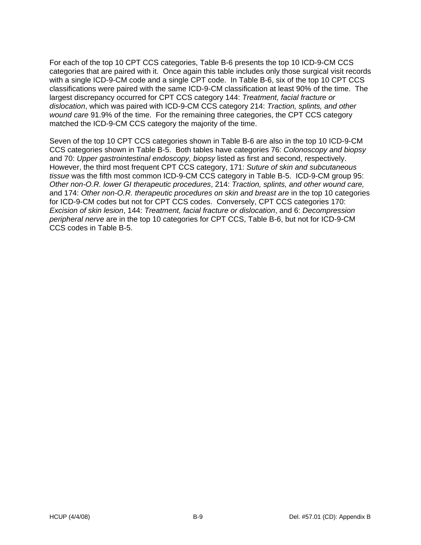For each of the top 10 CPT CCS categories, Table B-6 presents the top 10 ICD-9-CM CCS categories that are paired with it. Once again this table includes only those surgical visit records with a single ICD-9-CM code and a single CPT code. In Table B-6, six of the top 10 CPT CCS classifications were paired with the same ICD-9-CM classification at least 90% of the time. The largest discrepancy occurred for CPT CCS category 144: *Treatment, facial fracture or dislocation*, which was paired with ICD-9-CM CCS category 214: *Traction, splints, and other wound care* 91.9% of the time. For the remaining three categories, the CPT CCS category matched the ICD-9-CM CCS category the majority of the time.

Seven of the top 10 CPT CCS categories shown in Table B-6 are also in the top 10 ICD-9-CM CCS categories shown in Table B-5. Both tables have categories 76: *Colonoscopy and biopsy* and 70: *Upper gastrointestinal endoscopy, biopsy* listed as first and second, respectively. However, the third most frequent CPT CCS category, 171: *Suture of skin and subcutaneous tissue* was the fifth most common ICD-9-CM CCS category in Table B-5. ICD-9-CM group 95: *Other non-O.R. lower GI therapeutic procedures*, 214: *Traction, splints, and other wound care,*  and 174: Other non-O.R. therapeutic procedures on skin and breast are in the top 10 categories for ICD-9-CM codes but not for CPT CCS codes. Conversely, CPT CCS categories 170: *Excision of skin lesion*, 144: *Treatment, facial fracture or dislocation*, and 6: *Decompression peripheral nerve* are in the top 10 categories for CPT CCS, Table B-6, but not for ICD-9-CM CCS codes in Table B-5.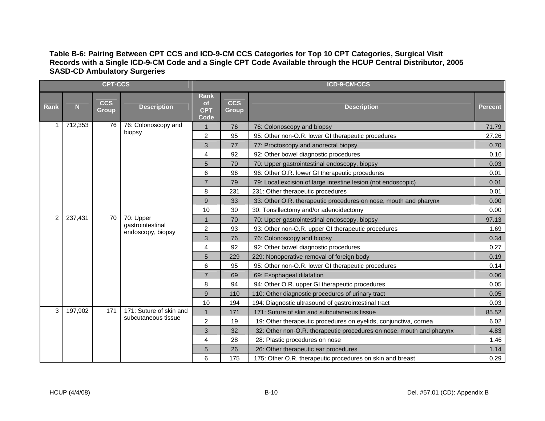#### **Table B-6: Pairing Between CPT CCS and ICD-9-CM CCS Categories for Top 10 CPT Categories, Surgical Visit Records with a Single ICD-9-CM Code and a Single CPT Code Available through the HCUP Central Distributor, 2005 SASD-CD Ambulatory Surgeries**

|                |         | <b>CPT-CCS</b>             |                                                          | ICD-9-CM-CCS                                   |                            |                                                                      |                |  |
|----------------|---------|----------------------------|----------------------------------------------------------|------------------------------------------------|----------------------------|----------------------------------------------------------------------|----------------|--|
| <b>Rank</b>    | N       | <b>CCS</b><br><b>Group</b> | <b>Description</b>                                       | <b>Rank</b><br><b>of</b><br><b>CPT</b><br>Code | <b>CCS</b><br><b>Group</b> | <b>Description</b>                                                   | <b>Percent</b> |  |
|                | 712,353 | 76                         | 76: Colonoscopy and                                      | 1                                              | 76                         | 76: Colonoscopy and biopsy                                           | 71.79          |  |
|                |         |                            | biopsy                                                   | $\overline{c}$                                 | 95                         | 95: Other non-O.R. lower GI therapeutic procedures                   | 27.26          |  |
|                |         |                            |                                                          | 3                                              | 77                         | 77: Proctoscopy and anorectal biopsy                                 | 0.70           |  |
|                |         |                            |                                                          | 4                                              | 92                         | 92: Other bowel diagnostic procedures                                | 0.16           |  |
|                |         |                            |                                                          | 5                                              | 70                         | 70: Upper gastrointestinal endoscopy, biopsy                         | 0.03           |  |
|                |         |                            |                                                          | 6                                              | 96                         | 96: Other O.R. lower GI therapeutic procedures                       | 0.01           |  |
|                |         |                            |                                                          | 7                                              | 79                         | 79: Local excision of large intestine lesion (not endoscopic)        | 0.01           |  |
|                |         |                            |                                                          | 8                                              | 231                        | 231: Other therapeutic procedures                                    | 0.01           |  |
|                |         |                            |                                                          | 9                                              | 33                         | 33: Other O.R. therapeutic procedures on nose, mouth and pharynx     | 0.00           |  |
|                |         |                            |                                                          | 10                                             | 30                         | 30: Tonsillectomy and/or adenoidectomy                               | 0.00           |  |
| $\overline{2}$ | 237,431 |                            | 70<br>70: Upper<br>gastrointestinal<br>endoscopy, biopsy |                                                | 70                         | 70: Upper gastrointestinal endoscopy, biopsy                         | 97.13          |  |
|                |         |                            |                                                          | $\overline{c}$                                 | 93                         | 93: Other non-O.R. upper GI therapeutic procedures                   | 1.69           |  |
|                |         |                            |                                                          | 3                                              | 76                         | 76: Colonoscopy and biopsy                                           | 0.34           |  |
|                |         |                            |                                                          | $\overline{4}$                                 | 92                         | 92: Other bowel diagnostic procedures                                | 0.27           |  |
|                |         |                            |                                                          | 5                                              | 229                        | 229: Nonoperative removal of foreign body                            | 0.19           |  |
|                |         |                            |                                                          | 6                                              | 95                         | 95: Other non-O.R. lower GI therapeutic procedures                   | 0.14           |  |
|                |         |                            |                                                          | $\overline{7}$                                 | 69                         | 69: Esophageal dilatation                                            | 0.06           |  |
|                |         |                            |                                                          | 8                                              | 94                         | 94: Other O.R. upper GI therapeutic procedures                       | 0.05           |  |
|                |         |                            |                                                          | 9                                              | 110                        | 110: Other diagnostic procedures of urinary tract                    | 0.05           |  |
|                |         |                            |                                                          | 10                                             | 194                        | 194: Diagnostic ultrasound of gastrointestinal tract                 | 0.03           |  |
| 3              | 197,902 | 171                        | 171: Suture of skin and                                  | $\mathbf 1$                                    | 171                        | 171: Suture of skin and subcutaneous tissue                          | 85.52          |  |
|                |         |                            | subcutaneous tissue                                      | 2                                              | 19                         | 19: Other therapeutic procedures on eyelids, conjunctiva, cornea     | 6.02           |  |
|                |         |                            |                                                          | 3                                              | 32                         | 32: Other non-O.R. therapeutic procedures on nose, mouth and pharynx | 4.83           |  |
|                |         |                            |                                                          | 4                                              | 28                         | 28: Plastic procedures on nose                                       | 1.46           |  |
|                |         |                            |                                                          | 5                                              | 26                         | 26: Other therapeutic ear procedures                                 | 1.14           |  |
|                |         |                            |                                                          | 6                                              | 175                        | 175: Other O.R. therapeutic procedures on skin and breast            | 0.29           |  |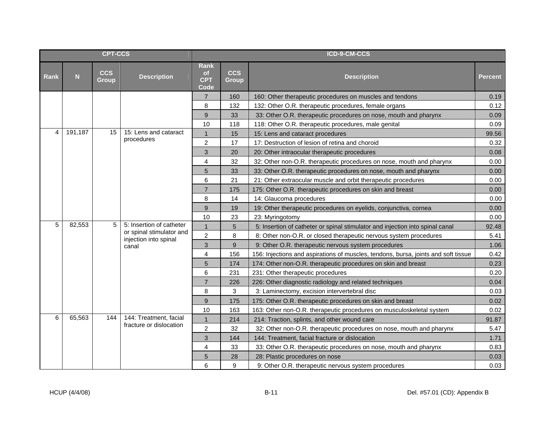| <b>CPT-CCS</b> |         |                            |                                                   | ICD-9-CM-CCS                            |                            |                                                                                    |                |  |
|----------------|---------|----------------------------|---------------------------------------------------|-----------------------------------------|----------------------------|------------------------------------------------------------------------------------|----------------|--|
| <b>Rank</b>    | N       | <b>CCS</b><br><b>Group</b> | <b>Description</b>                                | Rank<br><b>of</b><br><b>CPT</b><br>Code | <b>CCS</b><br><b>Group</b> | <b>Description</b>                                                                 | <b>Percent</b> |  |
|                |         |                            |                                                   | $\overline{7}$                          | 160                        | 160: Other therapeutic procedures on muscles and tendons                           | 0.19           |  |
|                |         |                            |                                                   | 8                                       | 132                        | 132: Other O.R. therapeutic procedures, female organs                              | 0.12           |  |
|                |         |                            |                                                   | 9                                       | 33                         | 33: Other O.R. therapeutic procedures on nose, mouth and pharynx                   | 0.09           |  |
|                |         |                            |                                                   | 10                                      | 118                        | 118: Other O.R. therapeutic procedures, male genital                               | 0.09           |  |
| 4              | 191,187 | 15                         | 15: Lens and cataract                             | $\mathbf{1}$                            | 15                         | 15: Lens and cataract procedures                                                   | 99.56          |  |
|                |         |                            | procedures                                        | $\overline{c}$                          | 17                         | 17: Destruction of lesion of retina and choroid                                    | 0.32           |  |
|                |         |                            |                                                   | $\mathbf{3}$                            | 20                         | 20: Other intraocular therapeutic procedures                                       | 0.08           |  |
|                |         |                            |                                                   | $\overline{4}$                          | 32                         | 32: Other non-O.R. therapeutic procedures on nose, mouth and pharynx               | 0.00           |  |
|                |         |                            |                                                   | $\sqrt{5}$                              | 33                         | 33: Other O.R. therapeutic procedures on nose, mouth and pharynx                   | 0.00           |  |
|                |         |                            |                                                   | 6                                       | 21                         | 21: Other extraocular muscle and orbit therapeutic procedures                      | 0.00           |  |
|                |         |                            |                                                   | $\overline{7}$                          | 175                        | 175: Other O.R. therapeutic procedures on skin and breast                          | 0.00           |  |
|                |         |                            |                                                   | 8                                       | 14                         | 14: Glaucoma procedures                                                            | 0.00           |  |
|                |         |                            |                                                   | 9                                       | 19                         | 19: Other therapeutic procedures on eyelids, conjunctiva, cornea                   | 0.00           |  |
|                |         |                            |                                                   | 10                                      | 23                         | 23: Myringotomy                                                                    | 0.00           |  |
| 5              | 82,553  | 5                          | 5: Insertion of catheter                          | $\mathbf{1}$                            | 5                          | 5: Insertion of catheter or spinal stimulator and injection into spinal canal      | 92.48          |  |
|                |         |                            | or spinal stimulator and<br>injection into spinal | $\overline{c}$                          | 8                          | 8: Other non-O.R. or closed therapeutic nervous system procedures                  | 5.41           |  |
|                |         |                            | canal                                             | 3                                       | 9                          | 9: Other O.R. therapeutic nervous system procedures                                | 1.06           |  |
|                |         |                            |                                                   | $\overline{4}$                          | 156                        | 156: Injections and aspirations of muscles, tendons, bursa, joints and soft tissue | 0.42           |  |
|                |         |                            |                                                   | 5                                       | 174                        | 174: Other non-O.R. therapeutic procedures on skin and breast                      | 0.23           |  |
|                |         |                            |                                                   | 6                                       | 231                        | 231: Other therapeutic procedures                                                  | 0.20           |  |
|                |         |                            |                                                   | $\overline{7}$                          | 226                        | 226: Other diagnostic radiology and related techniques                             | 0.04           |  |
|                |         |                            |                                                   | 8                                       | 3                          | 3: Laminectomy, excision intervertebral disc                                       | 0.03           |  |
|                |         |                            |                                                   | 9                                       | 175                        | 175: Other O.R. therapeutic procedures on skin and breast                          | 0.02           |  |
|                |         |                            |                                                   | 10                                      | 163                        | 163: Other non-O.R. therapeutic procedures on musculoskeletal system               | 0.02           |  |
| 6              | 65,563  | 144                        | 144: Treatment, facial<br>fracture or dislocation | $\mathbf{1}$                            | 214                        | 214: Traction, splints, and other wound care                                       | 91.87          |  |
|                |         |                            |                                                   | $\overline{2}$                          | 32                         | 32: Other non-O.R. therapeutic procedures on nose, mouth and pharynx               | 5.47           |  |
|                |         |                            |                                                   | $\mathbf{3}$                            | 144                        | 144: Treatment, facial fracture or dislocation                                     | 1.71           |  |
|                |         |                            |                                                   | 4                                       | 33                         | 33: Other O.R. therapeutic procedures on nose, mouth and pharynx                   | 0.83           |  |
|                |         |                            |                                                   | 5                                       | 28                         | 28: Plastic procedures on nose                                                     | 0.03           |  |
|                |         |                            |                                                   | 6                                       | 9                          | 9: Other O.R. therapeutic nervous system procedures                                | 0.03           |  |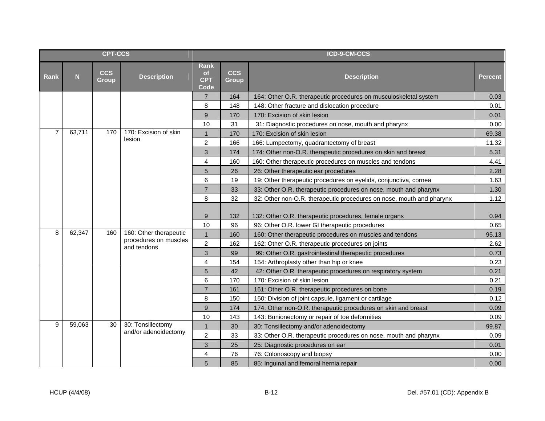| <b>CPT-CCS</b> |        |                            |                                                             |                                         |                            | ICD-9-CM-CCS                                                         |                |
|----------------|--------|----------------------------|-------------------------------------------------------------|-----------------------------------------|----------------------------|----------------------------------------------------------------------|----------------|
| Rank           | N      | <b>CCS</b><br><b>Group</b> | <b>Description</b>                                          | Rank<br><b>of</b><br><b>CPT</b><br>Code | <b>CCS</b><br><b>Group</b> | <b>Description</b>                                                   | <b>Percent</b> |
|                |        |                            |                                                             | $\overline{7}$                          | 164                        | 164: Other O.R. therapeutic procedures on musculoskeletal system     | 0.03           |
|                |        |                            |                                                             | 8                                       | 148                        | 148: Other fracture and dislocation procedure                        | 0.01           |
|                |        |                            |                                                             | 9                                       | 170                        | 170: Excision of skin lesion                                         | 0.01           |
|                |        |                            |                                                             | 10                                      | 31                         | 31: Diagnostic procedures on nose, mouth and pharynx                 | 0.00           |
| $\overline{7}$ | 63,711 | 170                        | 170: Excision of skin                                       | $\overline{1}$                          | 170                        | 170: Excision of skin lesion                                         | 69.38          |
|                |        |                            | lesion                                                      | $\overline{c}$                          | 166                        | 166: Lumpectomy, quadrantectomy of breast                            | 11.32          |
|                |        |                            |                                                             | 3                                       | 174                        | 174: Other non-O.R. therapeutic procedures on skin and breast        | 5.31           |
|                |        |                            |                                                             | 4                                       | 160                        | 160: Other therapeutic procedures on muscles and tendons             | 4.41           |
|                |        |                            |                                                             | 5                                       | 26                         | 26: Other therapeutic ear procedures                                 | 2.28           |
|                |        |                            |                                                             | 6                                       | 19                         | 19: Other therapeutic procedures on eyelids, conjunctiva, cornea     | 1.63           |
|                |        |                            |                                                             | $\overline{7}$                          | 33                         | 33: Other O.R. therapeutic procedures on nose, mouth and pharynx     | 1.30           |
|                |        |                            |                                                             | 8                                       | 32                         | 32: Other non-O.R. therapeutic procedures on nose, mouth and pharynx | 1.12           |
|                |        |                            |                                                             | 9                                       | 132                        | 132: Other O.R. therapeutic procedures, female organs                | 0.94           |
|                |        |                            |                                                             | 10                                      | 96                         | 96: Other O.R. lower GI therapeutic procedures                       | 0.65           |
| 8              | 62,347 | 160                        | 160: Other therapeutic                                      | $\mathbf{1}$                            | 160                        | 160: Other therapeutic procedures on muscles and tendons             | 95.13          |
|                |        |                            | procedures on muscles<br>and tendons                        | $\overline{2}$                          | 162                        | 162: Other O.R. therapeutic procedures on joints                     | 2.62           |
|                |        |                            |                                                             | 3                                       | 99                         | 99: Other O.R. gastrointestinal therapeutic procedures               | 0.73           |
|                |        |                            |                                                             | $\overline{4}$                          | 154                        | 154: Arthroplasty other than hip or knee                             | 0.23           |
|                |        | 5<br>42                    | 42: Other O.R. therapeutic procedures on respiratory system | 0.21                                    |                            |                                                                      |                |
|                |        |                            |                                                             | $6\phantom{1}6$                         | 170                        | 170: Excision of skin lesion                                         | 0.21           |
|                |        |                            |                                                             | $\overline{7}$                          | 161                        | 161: Other O.R. therapeutic procedures on bone                       | 0.19           |
|                |        |                            |                                                             | 8                                       | 150                        | 150: Division of joint capsule, ligament or cartilage                | 0.12           |
|                |        |                            |                                                             | 9                                       | 174                        | 174: Other non-O.R. therapeutic procedures on skin and breast        | 0.09           |
|                |        |                            |                                                             | 10                                      | 143                        | 143: Bunionectomy or repair of toe deformities                       | 0.09           |
| 9              | 59,063 | 30                         | 30: Tonsillectomy<br>and/or adenoidectomy                   | $\mathbf{1}$                            | 30                         | 30: Tonsillectomy and/or adenoidectomy                               | 99.87          |
|                |        |                            |                                                             | $\overline{c}$                          | 33                         | 33: Other O.R. therapeutic procedures on nose, mouth and pharynx     | 0.09           |
|                |        |                            |                                                             | 3                                       | 25                         | 25: Diagnostic procedures on ear                                     | 0.01           |
|                |        |                            |                                                             | 4                                       | 76                         | 76: Colonoscopy and biopsy                                           | 0.00           |
|                |        |                            |                                                             | 5                                       | 85                         | 85: Inguinal and femoral hernia repair                               | 0.00           |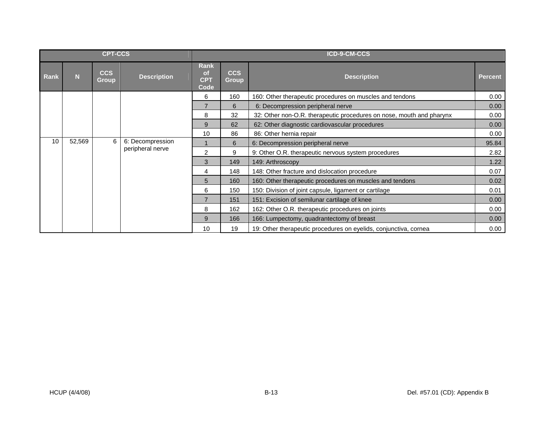| <b>CPT-CCS</b> |        |                            |                    | ICD-9-CM-CCS                            |                                                           |                                                                      |                  |      |  |  |   |   |                                                     |                  |  |   |                                   |       |
|----------------|--------|----------------------------|--------------------|-----------------------------------------|-----------------------------------------------------------|----------------------------------------------------------------------|------------------|------|--|--|---|---|-----------------------------------------------------|------------------|--|---|-----------------------------------|-------|
| Rank           | N      | <b>CCS</b><br><b>Group</b> | <b>Description</b> | Rank<br><b>of</b><br><b>CPT</b><br>Code | <b>CCS</b><br><b>Group</b>                                | <b>Description</b>                                                   | <b>Percent</b>   |      |  |  |   |   |                                                     |                  |  |   |                                   |       |
|                |        |                            |                    | 6                                       | 160                                                       | 160: Other therapeutic procedures on muscles and tendons             | 0.00             |      |  |  |   |   |                                                     |                  |  |   |                                   |       |
|                |        |                            |                    |                                         | 6                                                         | 6: Decompression peripheral nerve                                    | 0.00             |      |  |  |   |   |                                                     |                  |  |   |                                   |       |
|                |        |                            |                    | 8                                       | 32                                                        | 32: Other non-O.R. therapeutic procedures on nose, mouth and pharynx | 0.00             |      |  |  |   |   |                                                     |                  |  |   |                                   |       |
|                |        |                            |                    | 9                                       | 62                                                        | 62: Other diagnostic cardiovascular procedures                       | 0.00             |      |  |  |   |   |                                                     |                  |  |   |                                   |       |
|                |        |                            |                    | 10                                      | 86                                                        | 86: Other hernia repair                                              | 0.00             |      |  |  |   |   |                                                     |                  |  |   |                                   |       |
| 10             | 52,569 | 6                          |                    |                                         |                                                           |                                                                      |                  |      |  |  |   |   |                                                     | 6: Decompression |  | 6 | 6: Decompression peripheral nerve | 95.84 |
|                |        |                            |                    | peripheral nerve                        |                                                           |                                                                      |                  |      |  |  | 2 | 9 | 9: Other O.R. therapeutic nervous system procedures | 2.82             |  |   |                                   |       |
|                |        |                            |                    |                                         | 3                                                         | 149                                                                  | 149: Arthroscopy | 1.22 |  |  |   |   |                                                     |                  |  |   |                                   |       |
|                |        |                            |                    |                                         | 148<br>148: Other fracture and dislocation procedure<br>4 |                                                                      | 0.07             |      |  |  |   |   |                                                     |                  |  |   |                                   |       |
|                |        |                            |                    | 5                                       | 160                                                       | 160: Other therapeutic procedures on muscles and tendons             | 0.02             |      |  |  |   |   |                                                     |                  |  |   |                                   |       |
|                |        |                            |                    | 6                                       | 150                                                       | 150: Division of joint capsule, ligament or cartilage                | 0.01             |      |  |  |   |   |                                                     |                  |  |   |                                   |       |
|                |        |                            |                    | $\overline{7}$                          | 151                                                       | 151: Excision of semilunar cartilage of knee                         | 0.00             |      |  |  |   |   |                                                     |                  |  |   |                                   |       |
|                |        |                            |                    | 8                                       | 162                                                       | 162: Other O.R. therapeutic procedures on joints                     | 0.00             |      |  |  |   |   |                                                     |                  |  |   |                                   |       |
|                |        |                            |                    | 9                                       | 166                                                       | 166: Lumpectomy, quadrantectomy of breast                            | 0.00             |      |  |  |   |   |                                                     |                  |  |   |                                   |       |
|                |        |                            |                    | 10                                      | 19                                                        | 19: Other therapeutic procedures on eyelids, conjunctiva, cornea     | 0.00             |      |  |  |   |   |                                                     |                  |  |   |                                   |       |